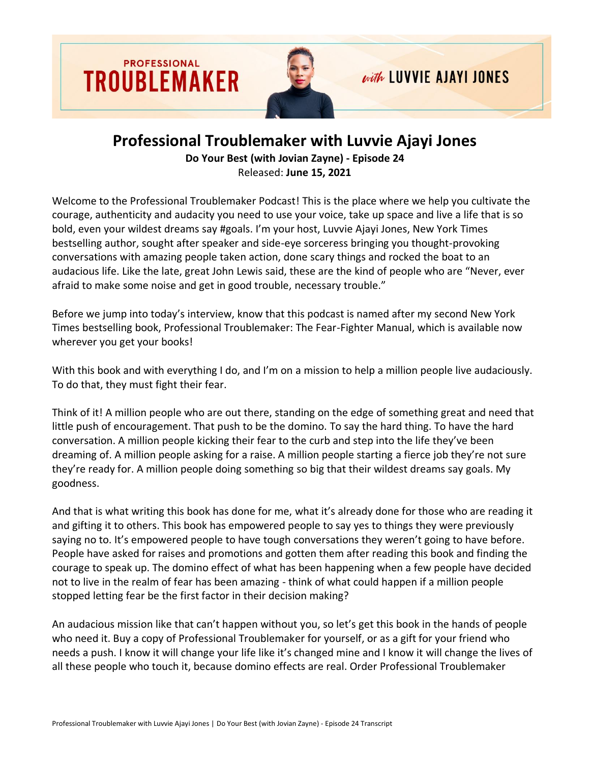



# with LUVVIE AJAYI JONES

## **Professional Troublemaker with Luvvie Ajayi Jones Do Your Best (with Jovian Zayne) - Episode 24**

Released: **June 15, 2021**

Welcome to the Professional Troublemaker Podcast! This is the place where we help you cultivate the courage, authenticity and audacity you need to use your voice, take up space and live a life that is so bold, even your wildest dreams say #goals. I'm your host, Luvvie Ajayi Jones, New York Times bestselling author, sought after speaker and side-eye sorceress bringing you thought-provoking conversations with amazing people taken action, done scary things and rocked the boat to an audacious life. Like the late, great John Lewis said, these are the kind of people who are "Never, ever afraid to make some noise and get in good trouble, necessary trouble."

Before we jump into today's interview, know that this podcast is named after my second New York Times bestselling book, Professional Troublemaker: The Fear-Fighter Manual, which is available now wherever you get your books!

With this book and with everything I do, and I'm on a mission to help a million people live audaciously. To do that, they must fight their fear.

Think of it! A million people who are out there, standing on the edge of something great and need that little push of encouragement. That push to be the domino. To say the hard thing. To have the hard conversation. A million people kicking their fear to the curb and step into the life they've been dreaming of. A million people asking for a raise. A million people starting a fierce job they're not sure they're ready for. A million people doing something so big that their wildest dreams say goals. My goodness.

And that is what writing this book has done for me, what it's already done for those who are reading it and gifting it to others. This book has empowered people to say yes to things they were previously saying no to. It's empowered people to have tough conversations they weren't going to have before. People have asked for raises and promotions and gotten them after reading this book and finding the courage to speak up. The domino effect of what has been happening when a few people have decided not to live in the realm of fear has been amazing - think of what could happen if a million people stopped letting fear be the first factor in their decision making?

An audacious mission like that can't happen without you, so let's get this book in the hands of people who need it. Buy a copy of Professional Troublemaker for yourself, or as a gift for your friend who needs a push. I know it will change your life like it's changed mine and I know it will change the lives of all these people who touch it, because domino effects are real. Order Professional Troublemaker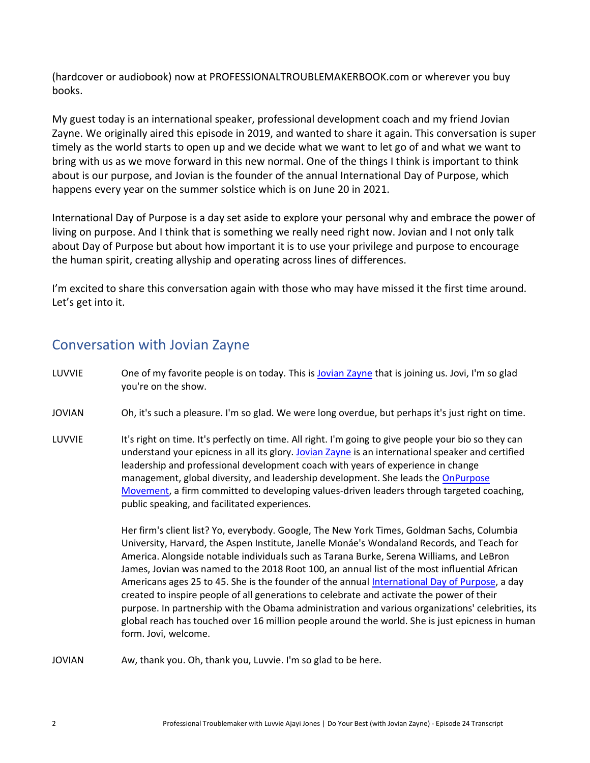(hardcover or audiobook) now at PROFESSIONALTROUBLEMAKERBOOK.com or wherever you buy books.

My guest today is an international speaker, professional development coach and my friend Jovian Zayne. We originally aired this episode in 2019, and wanted to share it again. This conversation is super timely as the world starts to open up and we decide what we want to let go of and what we want to bring with us as we move forward in this new normal. One of the things I think is important to think about is our purpose, and Jovian is the founder of the annual International Day of Purpose, which happens every year on the summer solstice which is on June 20 in 2021.

International Day of Purpose is a day set aside to explore your personal why and embrace the power of living on purpose. And I think that is something we really need right now. Jovian and I not only talk about Day of Purpose but about how important it is to use your privilege and purpose to encourage the human spirit, creating allyship and operating across lines of differences.

I'm excited to share this conversation again with those who may have missed it the first time around. Let's get into it.

### Conversation with Jovian Zayne

| LUVVIE        | One of my favorite people is on today. This is Jovian Zayne that is joining us. Jovi, I'm so glad<br>you're on the show.                                                                                                                                                                                                                                                                                                                                                                                                                                                                                                                                                                                                                                                                                                                                                                                                                                                                                                                                                                                               |
|---------------|------------------------------------------------------------------------------------------------------------------------------------------------------------------------------------------------------------------------------------------------------------------------------------------------------------------------------------------------------------------------------------------------------------------------------------------------------------------------------------------------------------------------------------------------------------------------------------------------------------------------------------------------------------------------------------------------------------------------------------------------------------------------------------------------------------------------------------------------------------------------------------------------------------------------------------------------------------------------------------------------------------------------------------------------------------------------------------------------------------------------|
| <b>JOVIAN</b> | Oh, it's such a pleasure. I'm so glad. We were long overdue, but perhaps it's just right on time.                                                                                                                                                                                                                                                                                                                                                                                                                                                                                                                                                                                                                                                                                                                                                                                                                                                                                                                                                                                                                      |
| LUVVIE        | It's right on time. It's perfectly on time. All right. I'm going to give people your bio so they can<br>understand your epicness in all its glory. Jovian Zayne is an international speaker and certified<br>leadership and professional development coach with years of experience in change<br>management, global diversity, and leadership development. She leads the OnPurpose<br>Movement, a firm committed to developing values-driven leaders through targeted coaching,<br>public speaking, and facilitated experiences.<br>Her firm's client list? Yo, everybody. Google, The New York Times, Goldman Sachs, Columbia<br>University, Harvard, the Aspen Institute, Janelle Monáe's Wondaland Records, and Teach for<br>America. Alongside notable individuals such as Tarana Burke, Serena Williams, and LeBron<br>James, Jovian was named to the 2018 Root 100, an annual list of the most influential African<br>Americans ages 25 to 45. She is the founder of the annual International Day of Purpose, a day<br>created to inspire people of all generations to celebrate and activate the power of their |
|               | purpose. In partnership with the Obama administration and various organizations' celebrities, its<br>global reach has touched over 16 million people around the world. She is just epicness in human<br>form. Jovi, welcome.                                                                                                                                                                                                                                                                                                                                                                                                                                                                                                                                                                                                                                                                                                                                                                                                                                                                                           |

JOVIAN Aw, thank you. Oh, thank you, Luvvie. I'm so glad to be here.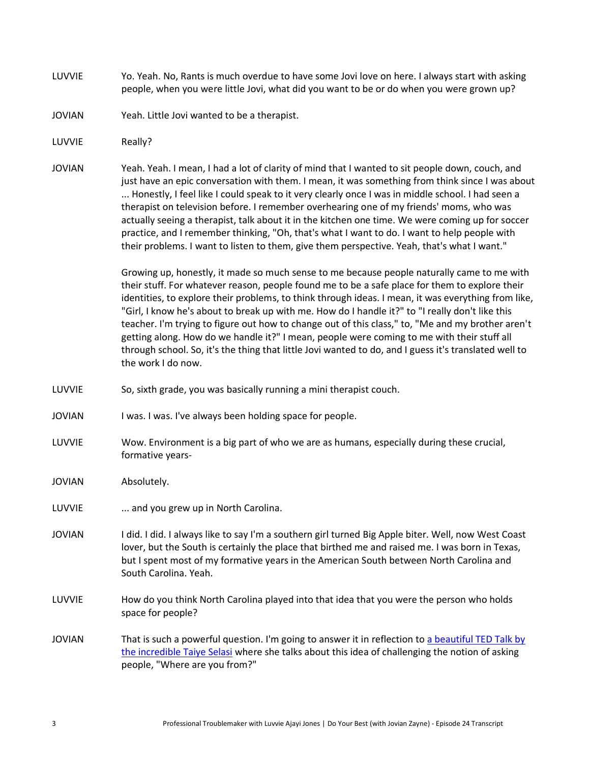- LUVVIE Yo. Yeah. No, Rants is much overdue to have some Jovi love on here. I always start with asking people, when you were little Jovi, what did you want to be or do when you were grown up?
- JOVIAN Yeah. Little Jovi wanted to be a therapist.
- LUVVIE Really?
- JOVIAN Yeah. Yeah. I mean, I had a lot of clarity of mind that I wanted to sit people down, couch, and just have an epic conversation with them. I mean, it was something from think since I was about ... Honestly, I feel like I could speak to it very clearly once I was in middle school. I had seen a therapist on television before. I remember overhearing one of my friends' moms, who was actually seeing a therapist, talk about it in the kitchen one time. We were coming up for soccer practice, and I remember thinking, "Oh, that's what I want to do. I want to help people with their problems. I want to listen to them, give them perspective. Yeah, that's what I want."

Growing up, honestly, it made so much sense to me because people naturally came to me with their stuff. For whatever reason, people found me to be a safe place for them to explore their identities, to explore their problems, to think through ideas. I mean, it was everything from like, "Girl, I know he's about to break up with me. How do I handle it?" to "I really don't like this teacher. I'm trying to figure out how to change out of this class," to, "Me and my brother aren't getting along. How do we handle it?" I mean, people were coming to me with their stuff all through school. So, it's the thing that little Jovi wanted to do, and I guess it's translated well to the work I do now.

- LUVVIE So, sixth grade, you was basically running a mini therapist couch.
- JOVIAN I was. I was. I've always been holding space for people.
- LUVVIE Wow. Environment is a big part of who we are as humans, especially during these crucial, formative years-
- JOVIAN Absolutely.
- LUVVIE ... and you grew up in North Carolina.
- JOVIAN I did. I did. I always like to say I'm a southern girl turned Big Apple biter. Well, now West Coast lover, but the South is certainly the place that birthed me and raised me. I was born in Texas, but I spent most of my formative years in the American South between North Carolina and South Carolina. Yeah.
- LUVVIE How do you think North Carolina played into that idea that you were the person who holds space for people?
- JOVIAN That is such a powerful question. I'm going to answer it in reflection to a beautiful TED Talk by [the incredible Taiye Selasi](https://www.ted.com/talks/taiye_selasi_don_t_ask_where_i_m_from_ask_where_i_m_a_local/discussion) where she talks about this idea of challenging the notion of asking people, "Where are you from?"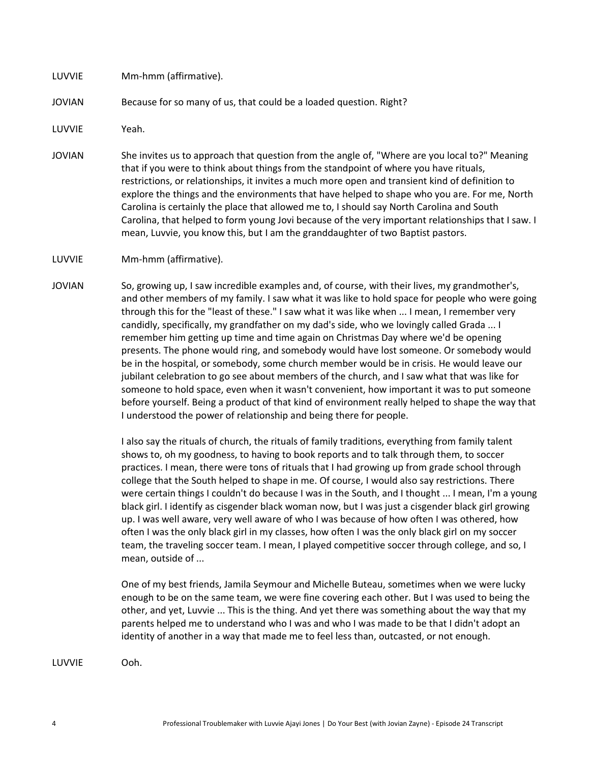#### LUVVIE Mm-hmm (affirmative).

#### JOVIAN Because for so many of us, that could be a loaded question. Right?

LUVVIE Yeah.

- JOVIAN She invites us to approach that question from the angle of, "Where are you local to?" Meaning that if you were to think about things from the standpoint of where you have rituals, restrictions, or relationships, it invites a much more open and transient kind of definition to explore the things and the environments that have helped to shape who you are. For me, North Carolina is certainly the place that allowed me to, I should say North Carolina and South Carolina, that helped to form young Jovi because of the very important relationships that I saw. I mean, Luvvie, you know this, but I am the granddaughter of two Baptist pastors.
- LUVVIE Mm-hmm (affirmative).
- JOVIAN So, growing up, I saw incredible examples and, of course, with their lives, my grandmother's, and other members of my family. I saw what it was like to hold space for people who were going through this for the "least of these." I saw what it was like when ... I mean, I remember very candidly, specifically, my grandfather on my dad's side, who we lovingly called Grada ... I remember him getting up time and time again on Christmas Day where we'd be opening presents. The phone would ring, and somebody would have lost someone. Or somebody would be in the hospital, or somebody, some church member would be in crisis. He would leave our jubilant celebration to go see about members of the church, and I saw what that was like for someone to hold space, even when it wasn't convenient, how important it was to put someone before yourself. Being a product of that kind of environment really helped to shape the way that I understood the power of relationship and being there for people.

I also say the rituals of church, the rituals of family traditions, everything from family talent shows to, oh my goodness, to having to book reports and to talk through them, to soccer practices. I mean, there were tons of rituals that I had growing up from grade school through college that the South helped to shape in me. Of course, I would also say restrictions. There were certain things I couldn't do because I was in the South, and I thought ... I mean, I'm a young black girl. I identify as cisgender black woman now, but I was just a cisgender black girl growing up. I was well aware, very well aware of who I was because of how often I was othered, how often I was the only black girl in my classes, how often I was the only black girl on my soccer team, the traveling soccer team. I mean, I played competitive soccer through college, and so, I mean, outside of ...

One of my best friends, Jamila Seymour and Michelle Buteau, sometimes when we were lucky enough to be on the same team, we were fine covering each other. But I was used to being the other, and yet, Luvvie ... This is the thing. And yet there was something about the way that my parents helped me to understand who I was and who I was made to be that I didn't adopt an identity of another in a way that made me to feel less than, outcasted, or not enough.

LUVVIE Ooh.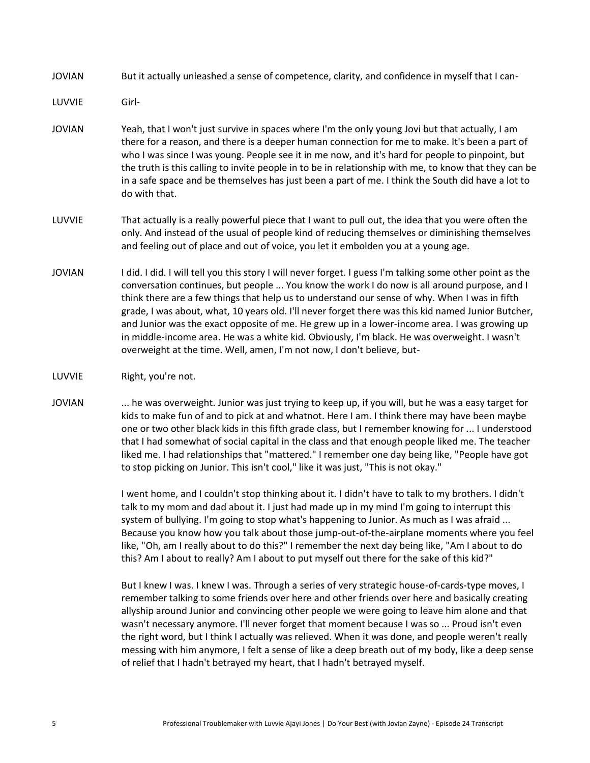JOVIAN But it actually unleashed a sense of competence, clarity, and confidence in myself that I can-

LUVVIE Girl-

- JOVIAN Yeah, that I won't just survive in spaces where I'm the only young Jovi but that actually, I am there for a reason, and there is a deeper human connection for me to make. It's been a part of who I was since I was young. People see it in me now, and it's hard for people to pinpoint, but the truth is this calling to invite people in to be in relationship with me, to know that they can be in a safe space and be themselves has just been a part of me. I think the South did have a lot to do with that.
- LUVVIE That actually is a really powerful piece that I want to pull out, the idea that you were often the only. And instead of the usual of people kind of reducing themselves or diminishing themselves and feeling out of place and out of voice, you let it embolden you at a young age.
- JOVIAN I did. I did. I will tell you this story I will never forget. I guess I'm talking some other point as the conversation continues, but people ... You know the work I do now is all around purpose, and I think there are a few things that help us to understand our sense of why. When I was in fifth grade, I was about, what, 10 years old. I'll never forget there was this kid named Junior Butcher, and Junior was the exact opposite of me. He grew up in a lower-income area. I was growing up in middle-income area. He was a white kid. Obviously, I'm black. He was overweight. I wasn't overweight at the time. Well, amen, I'm not now, I don't believe, but-
- LUVVIE Right, you're not.
- JOVIAN ... he was overweight. Junior was just trying to keep up, if you will, but he was a easy target for kids to make fun of and to pick at and whatnot. Here I am. I think there may have been maybe one or two other black kids in this fifth grade class, but I remember knowing for ... I understood that I had somewhat of social capital in the class and that enough people liked me. The teacher liked me. I had relationships that "mattered." I remember one day being like, "People have got to stop picking on Junior. This isn't cool," like it was just, "This is not okay."

I went home, and I couldn't stop thinking about it. I didn't have to talk to my brothers. I didn't talk to my mom and dad about it. I just had made up in my mind I'm going to interrupt this system of bullying. I'm going to stop what's happening to Junior. As much as I was afraid ... Because you know how you talk about those jump-out-of-the-airplane moments where you feel like, "Oh, am I really about to do this?" I remember the next day being like, "Am I about to do this? Am I about to really? Am I about to put myself out there for the sake of this kid?"

But I knew I was. I knew I was. Through a series of very strategic house-of-cards-type moves, I remember talking to some friends over here and other friends over here and basically creating allyship around Junior and convincing other people we were going to leave him alone and that wasn't necessary anymore. I'll never forget that moment because I was so ... Proud isn't even the right word, but I think I actually was relieved. When it was done, and people weren't really messing with him anymore, I felt a sense of like a deep breath out of my body, like a deep sense of relief that I hadn't betrayed my heart, that I hadn't betrayed myself.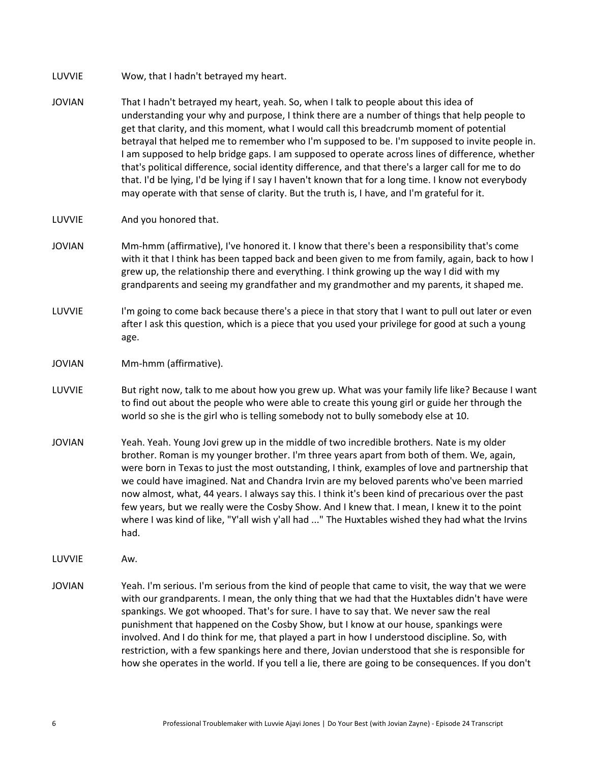- JOVIAN That I hadn't betrayed my heart, yeah. So, when I talk to people about this idea of understanding your why and purpose, I think there are a number of things that help people to get that clarity, and this moment, what I would call this breadcrumb moment of potential betrayal that helped me to remember who I'm supposed to be. I'm supposed to invite people in. I am supposed to help bridge gaps. I am supposed to operate across lines of difference, whether that's political difference, social identity difference, and that there's a larger call for me to do that. I'd be lying, I'd be lying if I say I haven't known that for a long time. I know not everybody may operate with that sense of clarity. But the truth is, I have, and I'm grateful for it.
- LUVVIE And you honored that.
- JOVIAN Mm-hmm (affirmative), I've honored it. I know that there's been a responsibility that's come with it that I think has been tapped back and been given to me from family, again, back to how I grew up, the relationship there and everything. I think growing up the way I did with my grandparents and seeing my grandfather and my grandmother and my parents, it shaped me.
- LUVVIE I'm going to come back because there's a piece in that story that I want to pull out later or even after I ask this question, which is a piece that you used your privilege for good at such a young age.
- JOVIAN Mm-hmm (affirmative).
- LUVVIE But right now, talk to me about how you grew up. What was your family life like? Because I want to find out about the people who were able to create this young girl or guide her through the world so she is the girl who is telling somebody not to bully somebody else at 10.
- JOVIAN Yeah. Yeah. Young Jovi grew up in the middle of two incredible brothers. Nate is my older brother. Roman is my younger brother. I'm three years apart from both of them. We, again, were born in Texas to just the most outstanding, I think, examples of love and partnership that we could have imagined. Nat and Chandra Irvin are my beloved parents who've been married now almost, what, 44 years. I always say this. I think it's been kind of precarious over the past few years, but we really were the Cosby Show. And I knew that. I mean, I knew it to the point where I was kind of like, "Y'all wish y'all had ..." The Huxtables wished they had what the Irvins had.
- LUVVIE Aw.
- JOVIAN Yeah. I'm serious. I'm serious from the kind of people that came to visit, the way that we were with our grandparents. I mean, the only thing that we had that the Huxtables didn't have were spankings. We got whooped. That's for sure. I have to say that. We never saw the real punishment that happened on the Cosby Show, but I know at our house, spankings were involved. And I do think for me, that played a part in how I understood discipline. So, with restriction, with a few spankings here and there, Jovian understood that she is responsible for how she operates in the world. If you tell a lie, there are going to be consequences. If you don't

LUVVIE Wow, that I hadn't betrayed my heart.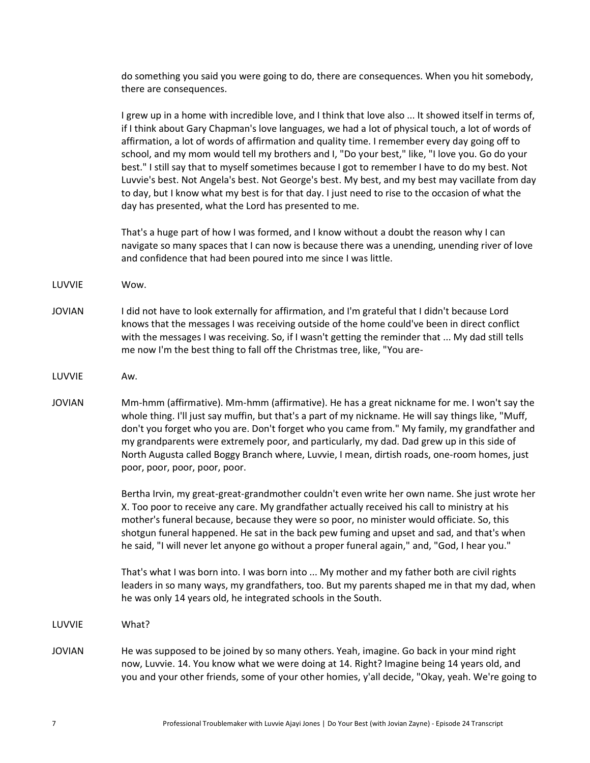do something you said you were going to do, there are consequences. When you hit somebody, there are consequences.

I grew up in a home with incredible love, and I think that love also ... It showed itself in terms of, if I think about Gary Chapman's love languages, we had a lot of physical touch, a lot of words of affirmation, a lot of words of affirmation and quality time. I remember every day going off to school, and my mom would tell my brothers and I, "Do your best," like, "I love you. Go do your best." I still say that to myself sometimes because I got to remember I have to do my best. Not Luvvie's best. Not Angela's best. Not George's best. My best, and my best may vacillate from day to day, but I know what my best is for that day. I just need to rise to the occasion of what the day has presented, what the Lord has presented to me.

That's a huge part of how I was formed, and I know without a doubt the reason why I can navigate so many spaces that I can now is because there was a unending, unending river of love and confidence that had been poured into me since I was little.

- LUVVIE Wow.
- JOVIAN I did not have to look externally for affirmation, and I'm grateful that I didn't because Lord knows that the messages I was receiving outside of the home could've been in direct conflict with the messages I was receiving. So, if I wasn't getting the reminder that ... My dad still tells me now I'm the best thing to fall off the Christmas tree, like, "You are-
- LUVVIE Aw.
- JOVIAN Mm-hmm (affirmative). Mm-hmm (affirmative). He has a great nickname for me. I won't say the whole thing. I'll just say muffin, but that's a part of my nickname. He will say things like, "Muff, don't you forget who you are. Don't forget who you came from." My family, my grandfather and my grandparents were extremely poor, and particularly, my dad. Dad grew up in this side of North Augusta called Boggy Branch where, Luvvie, I mean, dirtish roads, one-room homes, just poor, poor, poor, poor, poor.

Bertha Irvin, my great-great-grandmother couldn't even write her own name. She just wrote her X. Too poor to receive any care. My grandfather actually received his call to ministry at his mother's funeral because, because they were so poor, no minister would officiate. So, this shotgun funeral happened. He sat in the back pew fuming and upset and sad, and that's when he said, "I will never let anyone go without a proper funeral again," and, "God, I hear you."

That's what I was born into. I was born into ... My mother and my father both are civil rights leaders in so many ways, my grandfathers, too. But my parents shaped me in that my dad, when he was only 14 years old, he integrated schools in the South.

LUVVIE What?

JOVIAN He was supposed to be joined by so many others. Yeah, imagine. Go back in your mind right now, Luvvie. 14. You know what we were doing at 14. Right? Imagine being 14 years old, and you and your other friends, some of your other homies, y'all decide, "Okay, yeah. We're going to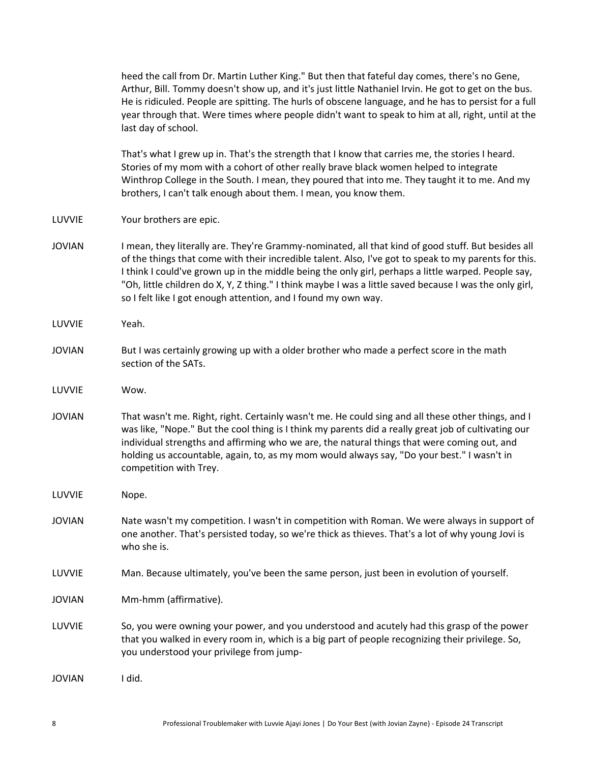|               | heed the call from Dr. Martin Luther King." But then that fateful day comes, there's no Gene,<br>Arthur, Bill. Tommy doesn't show up, and it's just little Nathaniel Irvin. He got to get on the bus.<br>He is ridiculed. People are spitting. The hurls of obscene language, and he has to persist for a full<br>year through that. Were times where people didn't want to speak to him at all, right, until at the<br>last day of school.                                                     |
|---------------|-------------------------------------------------------------------------------------------------------------------------------------------------------------------------------------------------------------------------------------------------------------------------------------------------------------------------------------------------------------------------------------------------------------------------------------------------------------------------------------------------|
|               | That's what I grew up in. That's the strength that I know that carries me, the stories I heard.<br>Stories of my mom with a cohort of other really brave black women helped to integrate<br>Winthrop College in the South. I mean, they poured that into me. They taught it to me. And my<br>brothers, I can't talk enough about them. I mean, you know them.                                                                                                                                   |
| LUVVIE        | Your brothers are epic.                                                                                                                                                                                                                                                                                                                                                                                                                                                                         |
| <b>JOVIAN</b> | I mean, they literally are. They're Grammy-nominated, all that kind of good stuff. But besides all<br>of the things that come with their incredible talent. Also, I've got to speak to my parents for this.<br>I think I could've grown up in the middle being the only girl, perhaps a little warped. People say,<br>"Oh, little children do X, Y, Z thing." I think maybe I was a little saved because I was the only girl,<br>so I felt like I got enough attention, and I found my own way. |
| LUVVIE        | Yeah.                                                                                                                                                                                                                                                                                                                                                                                                                                                                                           |
| <b>JOVIAN</b> | But I was certainly growing up with a older brother who made a perfect score in the math<br>section of the SATs.                                                                                                                                                                                                                                                                                                                                                                                |
| LUVVIE        | Wow.                                                                                                                                                                                                                                                                                                                                                                                                                                                                                            |
| <b>JOVIAN</b> | That wasn't me. Right, right. Certainly wasn't me. He could sing and all these other things, and I<br>was like, "Nope." But the cool thing is I think my parents did a really great job of cultivating our<br>individual strengths and affirming who we are, the natural things that were coming out, and<br>holding us accountable, again, to, as my mom would always say, "Do your best." I wasn't in<br>competition with Trey.                                                               |
| LUVVIE        | Nope.                                                                                                                                                                                                                                                                                                                                                                                                                                                                                           |
| <b>JOVIAN</b> | Nate wasn't my competition. I wasn't in competition with Roman. We were always in support of<br>one another. That's persisted today, so we're thick as thieves. That's a lot of why young Jovi is<br>who she is.                                                                                                                                                                                                                                                                                |
| LUVVIE        | Man. Because ultimately, you've been the same person, just been in evolution of yourself.                                                                                                                                                                                                                                                                                                                                                                                                       |
| <b>JOVIAN</b> | Mm-hmm (affirmative).                                                                                                                                                                                                                                                                                                                                                                                                                                                                           |
| LUVVIE        | So, you were owning your power, and you understood and acutely had this grasp of the power<br>that you walked in every room in, which is a big part of people recognizing their privilege. So,<br>you understood your privilege from jump-                                                                                                                                                                                                                                                      |
| <b>JOVIAN</b> | I did.                                                                                                                                                                                                                                                                                                                                                                                                                                                                                          |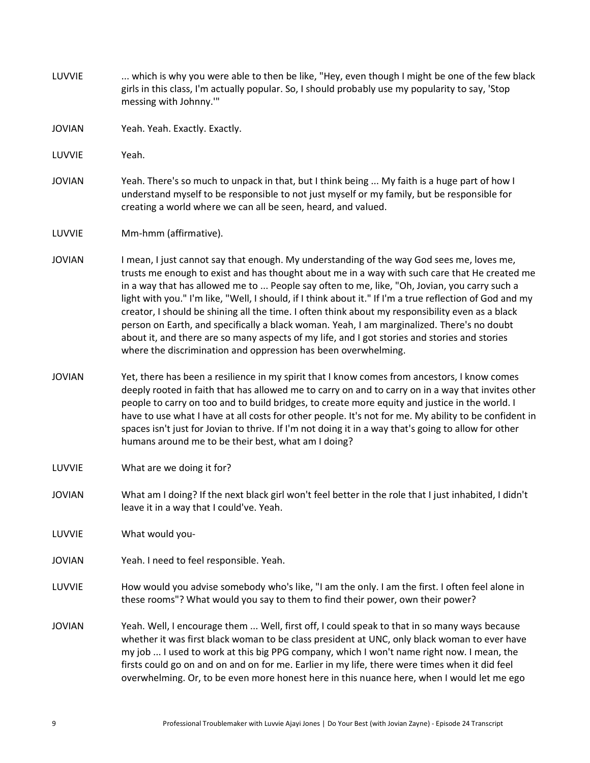LUVVIE ... which is why you were able to then be like, "Hey, even though I might be one of the few black girls in this class, I'm actually popular. So, I should probably use my popularity to say, 'Stop messing with Johnny.'" JOVIAN Yeah. Yeah. Exactly. Exactly. LUVVIE Yeah. JOVIAN Yeah. There's so much to unpack in that, but I think being ... My faith is a huge part of how I understand myself to be responsible to not just myself or my family, but be responsible for creating a world where we can all be seen, heard, and valued. LUVVIE Mm-hmm (affirmative). JOVIAN I mean, I just cannot say that enough. My understanding of the way God sees me, loves me, trusts me enough to exist and has thought about me in a way with such care that He created me in a way that has allowed me to ... People say often to me, like, "Oh, Jovian, you carry such a light with you." I'm like, "Well, I should, if I think about it." If I'm a true reflection of God and my creator, I should be shining all the time. I often think about my responsibility even as a black person on Earth, and specifically a black woman. Yeah, I am marginalized. There's no doubt about it, and there are so many aspects of my life, and I got stories and stories and stories where the discrimination and oppression has been overwhelming. JOVIAN Yet, there has been a resilience in my spirit that I know comes from ancestors, I know comes deeply rooted in faith that has allowed me to carry on and to carry on in a way that invites other people to carry on too and to build bridges, to create more equity and justice in the world. I have to use what I have at all costs for other people. It's not for me. My ability to be confident in spaces isn't just for Jovian to thrive. If I'm not doing it in a way that's going to allow for other humans around me to be their best, what am I doing? LUVVIE What are we doing it for? JOVIAN What am I doing? If the next black girl won't feel better in the role that I just inhabited, I didn't leave it in a way that I could've. Yeah. LUVVIE What would you-JOVIAN Yeah. I need to feel responsible. Yeah. LUVVIE How would you advise somebody who's like, "I am the only. I am the first. I often feel alone in these rooms"? What would you say to them to find their power, own their power? JOVIAN Yeah. Well, I encourage them ... Well, first off, I could speak to that in so many ways because whether it was first black woman to be class president at UNC, only black woman to ever have my job ... I used to work at this big PPG company, which I won't name right now. I mean, the firsts could go on and on and on for me. Earlier in my life, there were times when it did feel overwhelming. Or, to be even more honest here in this nuance here, when I would let me ego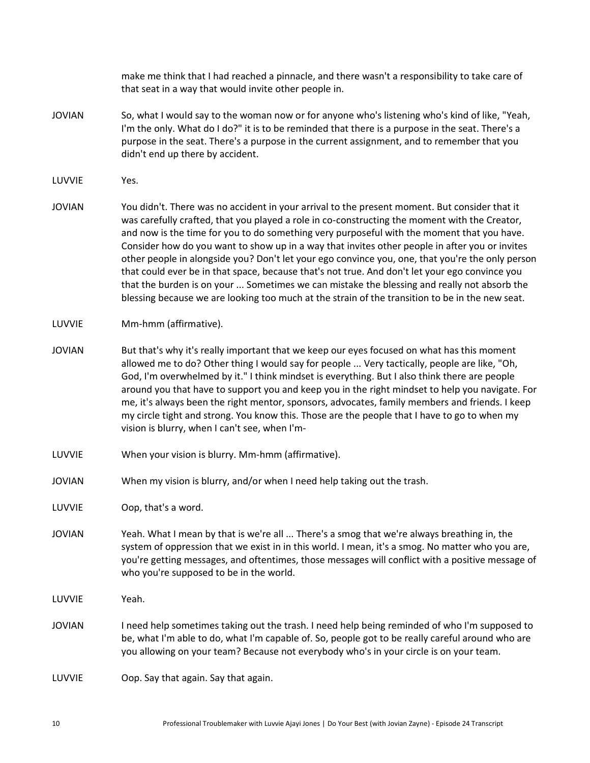make me think that I had reached a pinnacle, and there wasn't a responsibility to take care of that seat in a way that would invite other people in.

- JOVIAN So, what I would say to the woman now or for anyone who's listening who's kind of like, "Yeah, I'm the only. What do I do?" it is to be reminded that there is a purpose in the seat. There's a purpose in the seat. There's a purpose in the current assignment, and to remember that you didn't end up there by accident.
- LUVVIE Yes.
- JOVIAN You didn't. There was no accident in your arrival to the present moment. But consider that it was carefully crafted, that you played a role in co-constructing the moment with the Creator, and now is the time for you to do something very purposeful with the moment that you have. Consider how do you want to show up in a way that invites other people in after you or invites other people in alongside you? Don't let your ego convince you, one, that you're the only person that could ever be in that space, because that's not true. And don't let your ego convince you that the burden is on your ... Sometimes we can mistake the blessing and really not absorb the blessing because we are looking too much at the strain of the transition to be in the new seat.
- LUVVIE Mm-hmm (affirmative).
- JOVIAN But that's why it's really important that we keep our eyes focused on what has this moment allowed me to do? Other thing I would say for people ... Very tactically, people are like, "Oh, God, I'm overwhelmed by it." I think mindset is everything. But I also think there are people around you that have to support you and keep you in the right mindset to help you navigate. For me, it's always been the right mentor, sponsors, advocates, family members and friends. I keep my circle tight and strong. You know this. Those are the people that I have to go to when my vision is blurry, when I can't see, when I'm-
- LUVVIE When your vision is blurry. Mm-hmm (affirmative).
- JOVIAN When my vision is blurry, and/or when I need help taking out the trash.

LUVVIE Oop, that's a word.

- JOVIAN Yeah. What I mean by that is we're all ... There's a smog that we're always breathing in, the system of oppression that we exist in in this world. I mean, it's a smog. No matter who you are, you're getting messages, and oftentimes, those messages will conflict with a positive message of who you're supposed to be in the world.
- LUVVIE Yeah.
- JOVIAN I need help sometimes taking out the trash. I need help being reminded of who I'm supposed to be, what I'm able to do, what I'm capable of. So, people got to be really careful around who are you allowing on your team? Because not everybody who's in your circle is on your team.

LUVVIE Oop. Say that again. Say that again.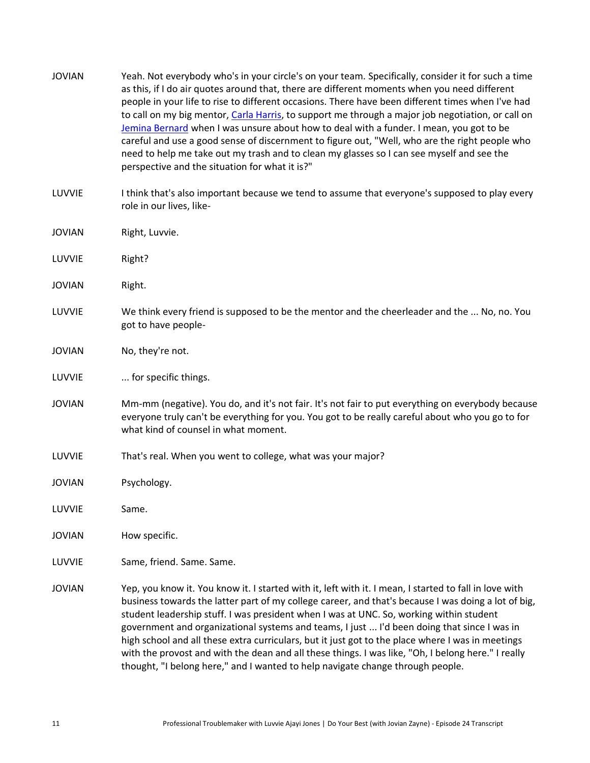JOVIAN Yeah. Not everybody who's in your circle's on your team. Specifically, consider it for such a time as this, if I do air quotes around that, there are different moments when you need different people in your life to rise to different occasions. There have been different times when I've had to call on my big mentor, [Carla Harris,](https://carlaspearls.com/) to support me through a major job negotiation, or call on [Jemina Bernard](https://www.linkedin.com/in/jemina-bernard-75349470/) when I was unsure about how to deal with a funder. I mean, you got to be careful and use a good sense of discernment to figure out, "Well, who are the right people who need to help me take out my trash and to clean my glasses so I can see myself and see the perspective and the situation for what it is?" LUVVIE Ithink that's also important because we tend to assume that everyone's supposed to play every role in our lives, like-JOVIAN Right, Luvvie. LUVVIE Right? JOVIAN Right. LUVVIE We think every friend is supposed to be the mentor and the cheerleader and the ... No, no. You got to have people-JOVIAN No, they're not. LUVVIE ... for specific things. JOVIAN Mm-mm (negative). You do, and it's not fair. It's not fair to put everything on everybody because everyone truly can't be everything for you. You got to be really careful about who you go to for what kind of counsel in what moment. LUVVIE That's real. When you went to college, what was your major? JOVIAN Psychology. LUVVIE Same. JOVIAN How specific. LUVVIE Same, friend. Same. Same. JOVIAN Yep, you know it. You know it. I started with it, left with it. I mean, I started to fall in love with business towards the latter part of my college career, and that's because I was doing a lot of big, student leadership stuff. I was president when I was at UNC. So, working within student government and organizational systems and teams, I just ... I'd been doing that since I was in high school and all these extra curriculars, but it just got to the place where I was in meetings with the provost and with the dean and all these things. I was like, "Oh, I belong here." I really

thought, "I belong here," and I wanted to help navigate change through people.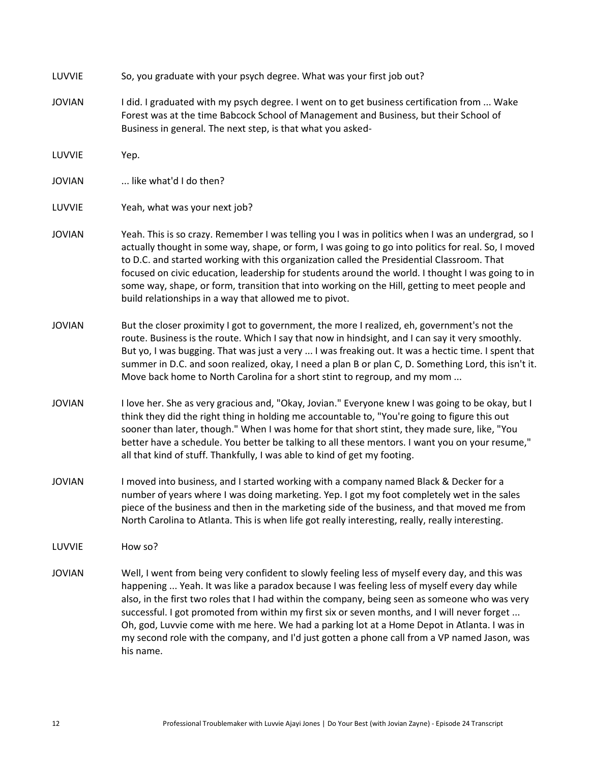| LUVVIE        | So, you graduate with your psych degree. What was your first job out?                                                                                                                                                                                                                                                                                                                                                                                                                                                                                                                                         |
|---------------|---------------------------------------------------------------------------------------------------------------------------------------------------------------------------------------------------------------------------------------------------------------------------------------------------------------------------------------------------------------------------------------------------------------------------------------------------------------------------------------------------------------------------------------------------------------------------------------------------------------|
| <b>JOVIAN</b> | I did. I graduated with my psych degree. I went on to get business certification from  Wake<br>Forest was at the time Babcock School of Management and Business, but their School of<br>Business in general. The next step, is that what you asked-                                                                                                                                                                                                                                                                                                                                                           |
| LUVVIE        | Yep.                                                                                                                                                                                                                                                                                                                                                                                                                                                                                                                                                                                                          |
| <b>JOVIAN</b> | like what'd I do then?                                                                                                                                                                                                                                                                                                                                                                                                                                                                                                                                                                                        |
| LUVVIE        | Yeah, what was your next job?                                                                                                                                                                                                                                                                                                                                                                                                                                                                                                                                                                                 |
| <b>JOVIAN</b> | Yeah. This is so crazy. Remember I was telling you I was in politics when I was an undergrad, so I<br>actually thought in some way, shape, or form, I was going to go into politics for real. So, I moved<br>to D.C. and started working with this organization called the Presidential Classroom. That<br>focused on civic education, leadership for students around the world. I thought I was going to in<br>some way, shape, or form, transition that into working on the Hill, getting to meet people and<br>build relationships in a way that allowed me to pivot.                                      |
| <b>JOVIAN</b> | But the closer proximity I got to government, the more I realized, eh, government's not the<br>route. Business is the route. Which I say that now in hindsight, and I can say it very smoothly.<br>But yo, I was bugging. That was just a very  I was freaking out. It was a hectic time. I spent that<br>summer in D.C. and soon realized, okay, I need a plan B or plan C, D. Something Lord, this isn't it.<br>Move back home to North Carolina for a short stint to regroup, and my mom                                                                                                                   |
| <b>JOVIAN</b> | I love her. She as very gracious and, "Okay, Jovian." Everyone knew I was going to be okay, but I<br>think they did the right thing in holding me accountable to, "You're going to figure this out<br>sooner than later, though." When I was home for that short stint, they made sure, like, "You<br>better have a schedule. You better be talking to all these mentors. I want you on your resume,"<br>all that kind of stuff. Thankfully, I was able to kind of get my footing.                                                                                                                            |
| <b>JOVIAN</b> | I moved into business, and I started working with a company named Black & Decker for a<br>number of years where I was doing marketing. Yep. I got my foot completely wet in the sales<br>piece of the business and then in the marketing side of the business, and that moved me from<br>North Carolina to Atlanta. This is when life got really interesting, really, really interesting.                                                                                                                                                                                                                     |
| LUVVIE        | How so?                                                                                                                                                                                                                                                                                                                                                                                                                                                                                                                                                                                                       |
| <b>JOVIAN</b> | Well, I went from being very confident to slowly feeling less of myself every day, and this was<br>happening  Yeah. It was like a paradox because I was feeling less of myself every day while<br>also, in the first two roles that I had within the company, being seen as someone who was very<br>successful. I got promoted from within my first six or seven months, and I will never forget<br>Oh, god, Luvvie come with me here. We had a parking lot at a Home Depot in Atlanta. I was in<br>my second role with the company, and I'd just gotten a phone call from a VP named Jason, was<br>his name. |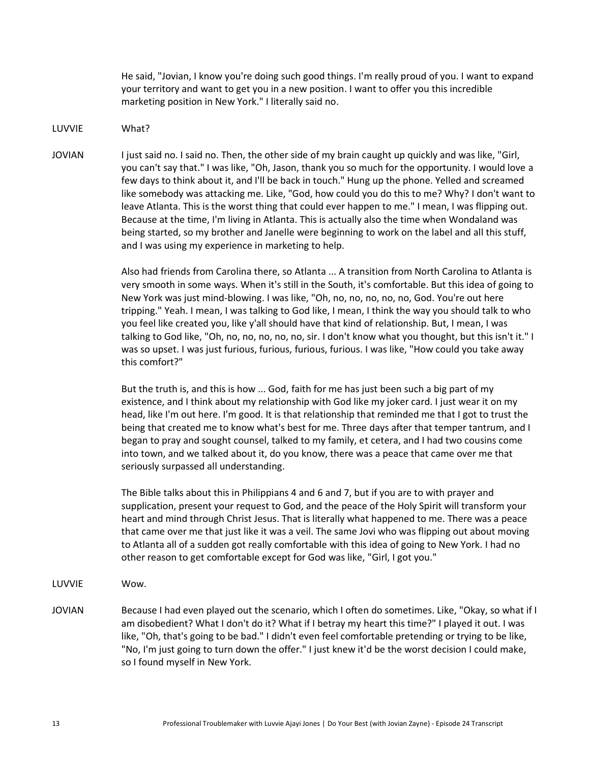He said, "Jovian, I know you're doing such good things. I'm really proud of you. I want to expand your territory and want to get you in a new position. I want to offer you this incredible marketing position in New York." I literally said no.

LUVVIE What?

JOVIAN I just said no. I said no. Then, the other side of my brain caught up quickly and was like, "Girl, you can't say that." I was like, "Oh, Jason, thank you so much for the opportunity. I would love a few days to think about it, and I'll be back in touch." Hung up the phone. Yelled and screamed like somebody was attacking me. Like, "God, how could you do this to me? Why? I don't want to leave Atlanta. This is the worst thing that could ever happen to me." I mean, I was flipping out. Because at the time, I'm living in Atlanta. This is actually also the time when Wondaland was being started, so my brother and Janelle were beginning to work on the label and all this stuff, and I was using my experience in marketing to help.

> Also had friends from Carolina there, so Atlanta ... A transition from North Carolina to Atlanta is very smooth in some ways. When it's still in the South, it's comfortable. But this idea of going to New York was just mind-blowing. I was like, "Oh, no, no, no, no, no, God. You're out here tripping." Yeah. I mean, I was talking to God like, I mean, I think the way you should talk to who you feel like created you, like y'all should have that kind of relationship. But, I mean, I was talking to God like, "Oh, no, no, no, no, no, sir. I don't know what you thought, but this isn't it." I was so upset. I was just furious, furious, furious, furious. I was like, "How could you take away this comfort?"

> But the truth is, and this is how ... God, faith for me has just been such a big part of my existence, and I think about my relationship with God like my joker card. I just wear it on my head, like I'm out here. I'm good. It is that relationship that reminded me that I got to trust the being that created me to know what's best for me. Three days after that temper tantrum, and I began to pray and sought counsel, talked to my family, et cetera, and I had two cousins come into town, and we talked about it, do you know, there was a peace that came over me that seriously surpassed all understanding.

> The Bible talks about this in Philippians 4 and 6 and 7, but if you are to with prayer and supplication, present your request to God, and the peace of the Holy Spirit will transform your heart and mind through Christ Jesus. That is literally what happened to me. There was a peace that came over me that just like it was a veil. The same Jovi who was flipping out about moving to Atlanta all of a sudden got really comfortable with this idea of going to New York. I had no other reason to get comfortable except for God was like, "Girl, I got you."

- LUVVIE Wow.
- JOVIAN Because I had even played out the scenario, which I often do sometimes. Like, "Okay, so what if I am disobedient? What I don't do it? What if I betray my heart this time?" I played it out. I was like, "Oh, that's going to be bad." I didn't even feel comfortable pretending or trying to be like, "No, I'm just going to turn down the offer." I just knew it'd be the worst decision I could make, so I found myself in New York.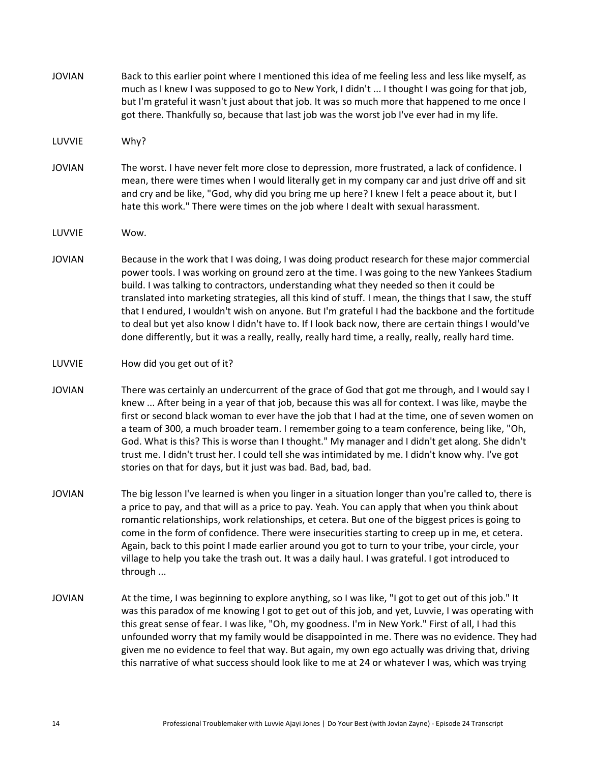| <b>JOVIAN</b> | Back to this earlier point where I mentioned this idea of me feeling less and less like myself, as<br>much as I knew I was supposed to go to New York, I didn't  I thought I was going for that job,<br>but I'm grateful it wasn't just about that job. It was so much more that happened to me once I<br>got there. Thankfully so, because that last job was the worst job I've ever had in my life.                                                                                                                                                                                                                                                                                                                  |
|---------------|------------------------------------------------------------------------------------------------------------------------------------------------------------------------------------------------------------------------------------------------------------------------------------------------------------------------------------------------------------------------------------------------------------------------------------------------------------------------------------------------------------------------------------------------------------------------------------------------------------------------------------------------------------------------------------------------------------------------|
| LUVVIE        | Why?                                                                                                                                                                                                                                                                                                                                                                                                                                                                                                                                                                                                                                                                                                                   |
| <b>JOVIAN</b> | The worst. I have never felt more close to depression, more frustrated, a lack of confidence. I<br>mean, there were times when I would literally get in my company car and just drive off and sit<br>and cry and be like, "God, why did you bring me up here? I knew I felt a peace about it, but I<br>hate this work." There were times on the job where I dealt with sexual harassment.                                                                                                                                                                                                                                                                                                                              |
| LUVVIE        | Wow.                                                                                                                                                                                                                                                                                                                                                                                                                                                                                                                                                                                                                                                                                                                   |
| <b>JOVIAN</b> | Because in the work that I was doing, I was doing product research for these major commercial<br>power tools. I was working on ground zero at the time. I was going to the new Yankees Stadium<br>build. I was talking to contractors, understanding what they needed so then it could be<br>translated into marketing strategies, all this kind of stuff. I mean, the things that I saw, the stuff<br>that I endured, I wouldn't wish on anyone. But I'm grateful I had the backbone and the fortitude<br>to deal but yet also know I didn't have to. If I look back now, there are certain things I would've<br>done differently, but it was a really, really, really hard time, a really, really, really hard time. |
| LUVVIE        | How did you get out of it?                                                                                                                                                                                                                                                                                                                                                                                                                                                                                                                                                                                                                                                                                             |
| <b>JOVIAN</b> | There was certainly an undercurrent of the grace of God that got me through, and I would say I<br>knew  After being in a year of that job, because this was all for context. I was like, maybe the<br>first or second black woman to ever have the job that I had at the time, one of seven women on<br>a team of 300, a much broader team. I remember going to a team conference, being like, "Oh,<br>God. What is this? This is worse than I thought." My manager and I didn't get along. She didn't<br>trust me. I didn't trust her. I could tell she was intimidated by me. I didn't know why. I've got<br>stories on that for days, but it just was bad. Bad, bad, bad.                                           |
| <b>JOVIAN</b> | The big lesson I've learned is when you linger in a situation longer than you're called to, there is<br>a price to pay, and that will as a price to pay. Yeah. You can apply that when you think about<br>romantic relationships, work relationships, et cetera. But one of the biggest prices is going to<br>come in the form of confidence. There were insecurities starting to creep up in me, et cetera.<br>Again, back to this point I made earlier around you got to turn to your tribe, your circle, your<br>village to help you take the trash out. It was a daily haul. I was grateful. I got introduced to<br>through                                                                                        |
| <b>JOVIAN</b> | At the time, I was beginning to explore anything, so I was like, "I got to get out of this job." It<br>was this paradox of me knowing I got to get out of this job, and yet, Luvvie, I was operating with<br>this great sense of fear. I was like, "Oh, my goodness. I'm in New York." First of all, I had this<br>unfounded worry that my family would be disappointed in me. There was no evidence. They had<br>given me no evidence to feel that way. But again, my own ego actually was driving that, driving<br>this narrative of what success should look like to me at 24 or whatever I was, which was trying                                                                                                   |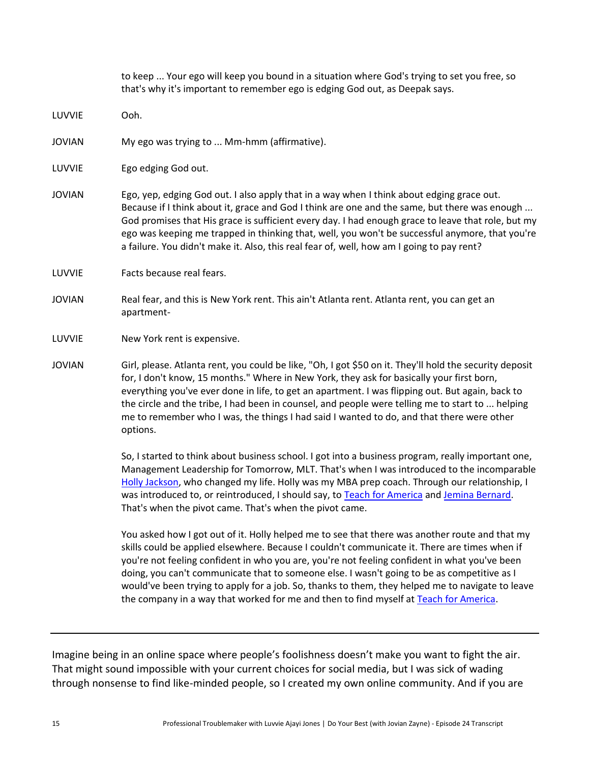|               | to keep  Your ego will keep you bound in a situation where God's trying to set you free, so<br>that's why it's important to remember ego is edging God out, as Deepak says.                                                                                                                                                                                                                                                                                                                                           |
|---------------|-----------------------------------------------------------------------------------------------------------------------------------------------------------------------------------------------------------------------------------------------------------------------------------------------------------------------------------------------------------------------------------------------------------------------------------------------------------------------------------------------------------------------|
| LUVVIE        | Ooh.                                                                                                                                                                                                                                                                                                                                                                                                                                                                                                                  |
| <b>JOVIAN</b> | My ego was trying to  Mm-hmm (affirmative).                                                                                                                                                                                                                                                                                                                                                                                                                                                                           |
| LUVVIE        | Ego edging God out.                                                                                                                                                                                                                                                                                                                                                                                                                                                                                                   |
| <b>JOVIAN</b> | Ego, yep, edging God out. I also apply that in a way when I think about edging grace out.<br>Because if I think about it, grace and God I think are one and the same, but there was enough<br>God promises that His grace is sufficient every day. I had enough grace to leave that role, but my<br>ego was keeping me trapped in thinking that, well, you won't be successful anymore, that you're<br>a failure. You didn't make it. Also, this real fear of, well, how am I going to pay rent?                      |
| LUVVIE        | Facts because real fears.                                                                                                                                                                                                                                                                                                                                                                                                                                                                                             |
| <b>JOVIAN</b> | Real fear, and this is New York rent. This ain't Atlanta rent. Atlanta rent, you can get an<br>apartment-                                                                                                                                                                                                                                                                                                                                                                                                             |
| LUVVIE        | New York rent is expensive.                                                                                                                                                                                                                                                                                                                                                                                                                                                                                           |
| <b>JOVIAN</b> | Girl, please. Atlanta rent, you could be like, "Oh, I got \$50 on it. They'll hold the security deposit<br>for, I don't know, 15 months." Where in New York, they ask for basically your first born,<br>everything you've ever done in life, to get an apartment. I was flipping out. But again, back to<br>the circle and the tribe, I had been in counsel, and people were telling me to start to  helping<br>me to remember who I was, the things I had said I wanted to do, and that there were other<br>options. |
|               | So, I started to think about business school. I got into a business program, really important one,<br>Management Leadership for Tomorrow, MLT. That's when I was introduced to the incomparable<br>Holly Jackson, who changed my life. Holly was my MBA prep coach. Through our relationship, I<br>was introduced to, or reintroduced, I should say, to Teach for America and Jemina Bernard.<br>That's when the pivot came. That's when the pivot came.                                                              |
|               | You asked how I got out of it. Holly helped me to see that there was another route and that my                                                                                                                                                                                                                                                                                                                                                                                                                        |

skills could be applied elsewhere. Because I couldn't communicate it. There are times when if you're not feeling confident in who you are, you're not feeling confident in what you've been doing, you can't communicate that to someone else. I wasn't going to be as competitive as I would've been trying to apply for a job. So, thanks to them, they helped me to navigate to leave the company in a way that worked for me and then to find myself at [Teach for America.](https://www.teachforamerica.org/)

Imagine being in an online space where people's foolishness doesn't make you want to fight the air. That might sound impossible with your current choices for social media, but I was sick of wading through nonsense to find like-minded people, so I created my own online community. And if you are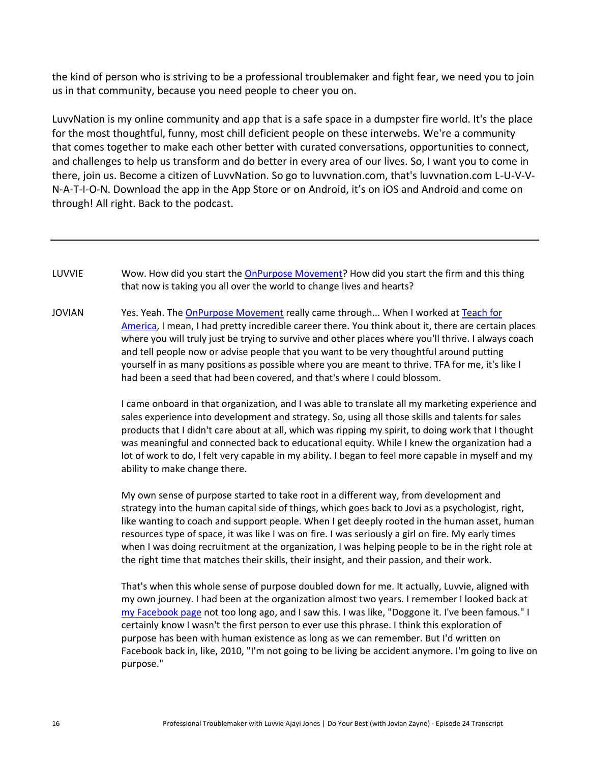the kind of person who is striving to be a professional troublemaker and fight fear, we need you to join us in that community, because you need people to cheer you on.

LuvvNation is my online community and app that is a safe space in a dumpster fire world. It's the place for the most thoughtful, funny, most chill deficient people on these interwebs. We're a community that comes together to make each other better with curated conversations, opportunities to connect, and challenges to help us transform and do better in every area of our lives. So, I want you to come in there, join us. Become a citizen of LuvvNation. So go to luvvnation.com, that's luvvnation.com L-U-V-V-N-A-T-I-O-N. Download the app in the App Store or on Android, it's on iOS and Android and come on through! All right. Back to the podcast.

- LUVVIE Wow. How did you start the [OnPurpose Movement?](https://www.jovianzayne.com/onpurpose-movement) How did you start the firm and this thing that now is taking you all over the world to change lives and hearts?
- JOVIAN Yes. Yeah. Th[e OnPurpose Movement](https://www.jovianzayne.com/onpurpose-movement) really came through... When I worked at Teach for [America,](https://www.teachforamerica.org/) I mean, I had pretty incredible career there. You think about it, there are certain places where you will truly just be trying to survive and other places where you'll thrive. I always coach and tell people now or advise people that you want to be very thoughtful around putting yourself in as many positions as possible where you are meant to thrive. TFA for me, it's like I had been a seed that had been covered, and that's where I could blossom.

I came onboard in that organization, and I was able to translate all my marketing experience and sales experience into development and strategy. So, using all those skills and talents for sales products that I didn't care about at all, which was ripping my spirit, to doing work that I thought was meaningful and connected back to educational equity. While I knew the organization had a lot of work to do, I felt very capable in my ability. I began to feel more capable in myself and my ability to make change there.

My own sense of purpose started to take root in a different way, from development and strategy into the human capital side of things, which goes back to Jovi as a psychologist, right, like wanting to coach and support people. When I get deeply rooted in the human asset, human resources type of space, it was like I was on fire. I was seriously a girl on fire. My early times when I was doing recruitment at the organization, I was helping people to be in the right role at the right time that matches their skills, their insight, and their passion, and their work.

That's when this whole sense of purpose doubled down for me. It actually, Luvvie, aligned with my own journey. I had been at the organization almost two years. I remember I looked back at [my Facebook page](https://www.facebook.com/jovianzayne/) not too long ago, and I saw this. I was like, "Doggone it. I've been famous." I certainly know I wasn't the first person to ever use this phrase. I think this exploration of purpose has been with human existence as long as we can remember. But I'd written on Facebook back in, like, 2010, "I'm not going to be living be accident anymore. I'm going to live on purpose."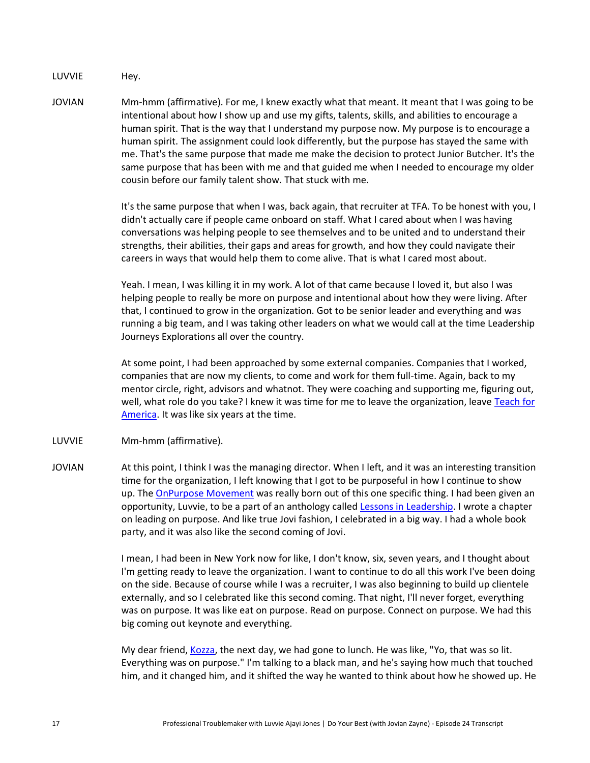LUVVIE Hey.

JOVIAN Mm-hmm (affirmative). For me, I knew exactly what that meant. It meant that I was going to be intentional about how I show up and use my gifts, talents, skills, and abilities to encourage a human spirit. That is the way that I understand my purpose now. My purpose is to encourage a human spirit. The assignment could look differently, but the purpose has stayed the same with me. That's the same purpose that made me make the decision to protect Junior Butcher. It's the same purpose that has been with me and that guided me when I needed to encourage my older cousin before our family talent show. That stuck with me.

> It's the same purpose that when I was, back again, that recruiter at TFA. To be honest with you, I didn't actually care if people came onboard on staff. What I cared about when I was having conversations was helping people to see themselves and to be united and to understand their strengths, their abilities, their gaps and areas for growth, and how they could navigate their careers in ways that would help them to come alive. That is what I cared most about.

> Yeah. I mean, I was killing it in my work. A lot of that came because I loved it, but also I was helping people to really be more on purpose and intentional about how they were living. After that, I continued to grow in the organization. Got to be senior leader and everything and was running a big team, and I was taking other leaders on what we would call at the time Leadership Journeys Explorations all over the country.

> At some point, I had been approached by some external companies. Companies that I worked, companies that are now my clients, to come and work for them full-time. Again, back to my mentor circle, right, advisors and whatnot. They were coaching and supporting me, figuring out, well, what role do you take? I knew it was time for me to leave the organization, leave Teach for [America.](https://www.teachforamerica.org/) It was like six years at the time.

- LUVVIE Mm-hmm (affirmative).
- JOVIAN At this point, I think I was the managing director. When I left, and it was an interesting transition time for the organization, I left knowing that I got to be purposeful in how I continue to show up. The [OnPurpose Movement](https://www.jovianzayne.com/onpurpose-movement) was really born out of this one specific thing. I had been given an opportunity, Luvvie, to be a part of an anthology called [Lessons in Leadership.](https://www.jovianzayne.com/buy-the-book) I wrote a chapter on leading on purpose. And like true Jovi fashion, I celebrated in a big way. I had a whole book party, and it was also like the second coming of Jovi.

I mean, I had been in New York now for like, I don't know, six, seven years, and I thought about I'm getting ready to leave the organization. I want to continue to do all this work I've been doing on the side. Because of course while I was a recruiter, I was also beginning to build up clientele externally, and so I celebrated like this second coming. That night, I'll never forget, everything was on purpose. It was like eat on purpose. Read on purpose. Connect on purpose. We had this big coming out keynote and everything.

My dear friend[, Kozza,](https://www.instagram.com/kozza/?hl=en) the next day, we had gone to lunch. He was like, "Yo, that was so lit. Everything was on purpose." I'm talking to a black man, and he's saying how much that touched him, and it changed him, and it shifted the way he wanted to think about how he showed up. He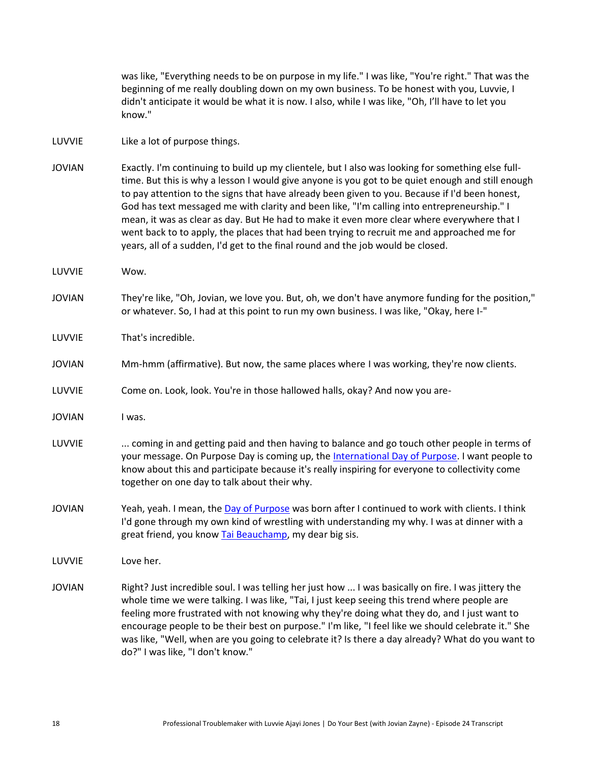was like, "Everything needs to be on purpose in my life." I was like, "You're right." That was the beginning of me really doubling down on my own business. To be honest with you, Luvvie, I didn't anticipate it would be what it is now. I also, while I was like, "Oh, I'll have to let you know."

#### LUVVIE Like a lot of purpose things.

- JOVIAN Exactly. I'm continuing to build up my clientele, but I also was looking for something else fulltime. But this is why a lesson I would give anyone is you got to be quiet enough and still enough to pay attention to the signs that have already been given to you. Because if I'd been honest, God has text messaged me with clarity and been like, "I'm calling into entrepreneurship." I mean, it was as clear as day. But He had to make it even more clear where everywhere that I went back to to apply, the places that had been trying to recruit me and approached me for years, all of a sudden, I'd get to the final round and the job would be closed.
- LUVVIE Wow.
- JOVIAN They're like, "Oh, Jovian, we love you. But, oh, we don't have anymore funding for the position," or whatever. So, I had at this point to run my own business. I was like, "Okay, here I-"
- LUVVIE That's incredible.
- JOVIAN Mm-hmm (affirmative). But now, the same places where I was working, they're now clients.
- LUVVIE Come on. Look, look. You're in those hallowed halls, okay? And now you are-
- JOVIAN I was.
- LUVVIE ... coming in and getting paid and then having to balance and go touch other people in terms of your message. On Purpose Day is coming up, the [International Day of Purpose.](https://www.dayofpurpose.org/) I want people to know about this and participate because it's really inspiring for everyone to collectivity come together on one day to talk about their why.
- JOVIAN Yeah, yeah. I mean, the [Day of Purpose](https://www.dayofpurpose.org/) was born after I continued to work with clients. I think I'd gone through my own kind of wrestling with understanding my why. I was at dinner with a great friend, you know [Tai Beauchamp,](http://www.taibeauchamp.com/) my dear big sis.
- LUVVIE Love her.
- JOVIAN Right? Just incredible soul. I was telling her just how ... I was basically on fire. I was jittery the whole time we were talking. I was like, "Tai, I just keep seeing this trend where people are feeling more frustrated with not knowing why they're doing what they do, and I just want to encourage people to be their best on purpose." I'm like, "I feel like we should celebrate it." She was like, "Well, when are you going to celebrate it? Is there a day already? What do you want to do?" I was like, "I don't know."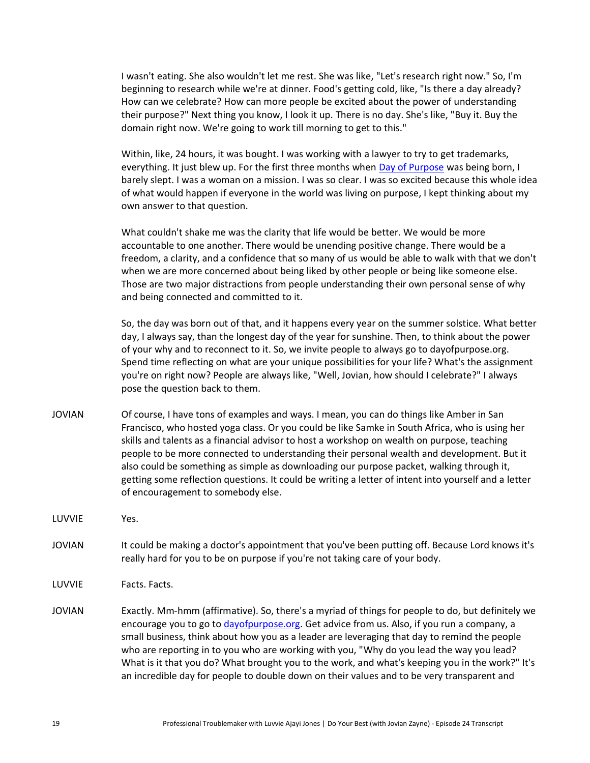I wasn't eating. She also wouldn't let me rest. She was like, "Let's research right now." So, I'm beginning to research while we're at dinner. Food's getting cold, like, "Is there a day already? How can we celebrate? How can more people be excited about the power of understanding their purpose?" Next thing you know, I look it up. There is no day. She's like, "Buy it. Buy the domain right now. We're going to work till morning to get to this."

Within, like, 24 hours, it was bought. I was working with a lawyer to try to get trademarks, everything. It just blew up. For the first three months when [Day of Purpose](https://www.dayofpurpose.org/) was being born, I barely slept. I was a woman on a mission. I was so clear. I was so excited because this whole idea of what would happen if everyone in the world was living on purpose, I kept thinking about my own answer to that question.

What couldn't shake me was the clarity that life would be better. We would be more accountable to one another. There would be unending positive change. There would be a freedom, a clarity, and a confidence that so many of us would be able to walk with that we don't when we are more concerned about being liked by other people or being like someone else. Those are two major distractions from people understanding their own personal sense of why and being connected and committed to it.

So, the day was born out of that, and it happens every year on the summer solstice. What better day, I always say, than the longest day of the year for sunshine. Then, to think about the power of your why and to reconnect to it. So, we invite people to always go to dayofpurpose.org. Spend time reflecting on what are your unique possibilities for your life? What's the assignment you're on right now? People are always like, "Well, Jovian, how should I celebrate?" I always pose the question back to them.

- JOVIAN Of course, I have tons of examples and ways. I mean, you can do things like Amber in San Francisco, who hosted yoga class. Or you could be like Samke in South Africa, who is using her skills and talents as a financial advisor to host a workshop on wealth on purpose, teaching people to be more connected to understanding their personal wealth and development. But it also could be something as simple as downloading our purpose packet, walking through it, getting some reflection questions. It could be writing a letter of intent into yourself and a letter of encouragement to somebody else.
- LUVVIE Yes.
- JOVIAN It could be making a doctor's appointment that you've been putting off. Because Lord knows it's really hard for you to be on purpose if you're not taking care of your body.
- LUVVIE Facts. Facts.
- JOVIAN Exactly. Mm-hmm (affirmative). So, there's a myriad of things for people to do, but definitely we encourage you to go to [dayofpurpose.org.](https://www.dayofpurpose.org/) Get advice from us. Also, if you run a company, a small business, think about how you as a leader are leveraging that day to remind the people who are reporting in to you who are working with you, "Why do you lead the way you lead? What is it that you do? What brought you to the work, and what's keeping you in the work?" It's an incredible day for people to double down on their values and to be very transparent and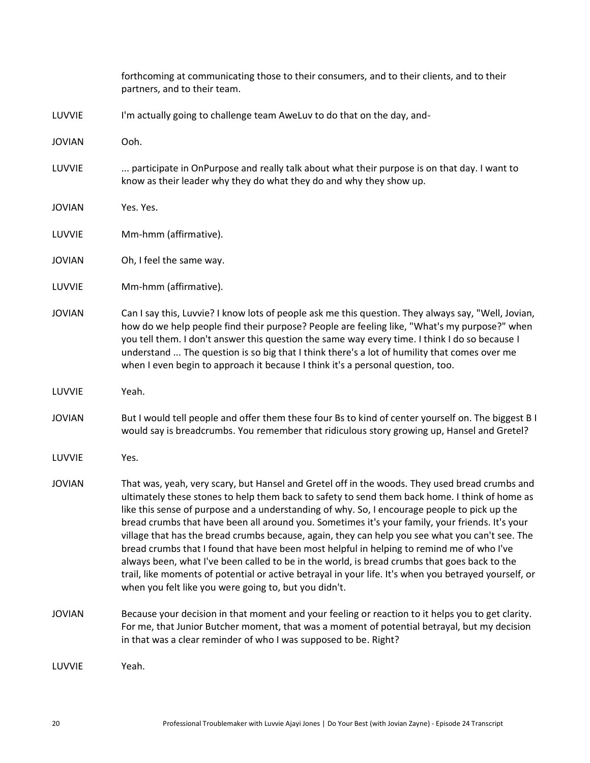|               | forthcoming at communicating those to their consumers, and to their clients, and to their<br>partners, and to their team.                                                                                                                                                                                                                                                                                                                                                                                                                                                                                                                                                                                                                                                                                                                                             |
|---------------|-----------------------------------------------------------------------------------------------------------------------------------------------------------------------------------------------------------------------------------------------------------------------------------------------------------------------------------------------------------------------------------------------------------------------------------------------------------------------------------------------------------------------------------------------------------------------------------------------------------------------------------------------------------------------------------------------------------------------------------------------------------------------------------------------------------------------------------------------------------------------|
| LUVVIE        | I'm actually going to challenge team AweLuv to do that on the day, and-                                                                                                                                                                                                                                                                                                                                                                                                                                                                                                                                                                                                                                                                                                                                                                                               |
| <b>JOVIAN</b> | Ooh.                                                                                                                                                                                                                                                                                                                                                                                                                                                                                                                                                                                                                                                                                                                                                                                                                                                                  |
| LUVVIE        | participate in OnPurpose and really talk about what their purpose is on that day. I want to<br>know as their leader why they do what they do and why they show up.                                                                                                                                                                                                                                                                                                                                                                                                                                                                                                                                                                                                                                                                                                    |
| <b>JOVIAN</b> | Yes. Yes.                                                                                                                                                                                                                                                                                                                                                                                                                                                                                                                                                                                                                                                                                                                                                                                                                                                             |
| LUVVIE        | Mm-hmm (affirmative).                                                                                                                                                                                                                                                                                                                                                                                                                                                                                                                                                                                                                                                                                                                                                                                                                                                 |
| <b>JOVIAN</b> | Oh, I feel the same way.                                                                                                                                                                                                                                                                                                                                                                                                                                                                                                                                                                                                                                                                                                                                                                                                                                              |
| LUVVIE        | Mm-hmm (affirmative).                                                                                                                                                                                                                                                                                                                                                                                                                                                                                                                                                                                                                                                                                                                                                                                                                                                 |
| <b>JOVIAN</b> | Can I say this, Luvvie? I know lots of people ask me this question. They always say, "Well, Jovian,<br>how do we help people find their purpose? People are feeling like, "What's my purpose?" when<br>you tell them. I don't answer this question the same way every time. I think I do so because I<br>understand  The question is so big that I think there's a lot of humility that comes over me<br>when I even begin to approach it because I think it's a personal question, too.                                                                                                                                                                                                                                                                                                                                                                              |
| LUVVIE        | Yeah.                                                                                                                                                                                                                                                                                                                                                                                                                                                                                                                                                                                                                                                                                                                                                                                                                                                                 |
| <b>JOVIAN</b> | But I would tell people and offer them these four Bs to kind of center yourself on. The biggest B I<br>would say is breadcrumbs. You remember that ridiculous story growing up, Hansel and Gretel?                                                                                                                                                                                                                                                                                                                                                                                                                                                                                                                                                                                                                                                                    |
| LUVVIE        | Yes.                                                                                                                                                                                                                                                                                                                                                                                                                                                                                                                                                                                                                                                                                                                                                                                                                                                                  |
| <b>JOVIAN</b> | That was, yeah, very scary, but Hansel and Gretel off in the woods. They used bread crumbs and<br>ultimately these stones to help them back to safety to send them back home. I think of home as<br>like this sense of purpose and a understanding of why. So, I encourage people to pick up the<br>bread crumbs that have been all around you. Sometimes it's your family, your friends. It's your<br>village that has the bread crumbs because, again, they can help you see what you can't see. The<br>bread crumbs that I found that have been most helpful in helping to remind me of who I've<br>always been, what I've been called to be in the world, is bread crumbs that goes back to the<br>trail, like moments of potential or active betrayal in your life. It's when you betrayed yourself, or<br>when you felt like you were going to, but you didn't. |
| <b>JOVIAN</b> | Because your decision in that moment and your feeling or reaction to it helps you to get clarity.<br>For me, that Junior Butcher moment, that was a moment of potential betrayal, but my decision<br>in that was a clear reminder of who I was supposed to be. Right?                                                                                                                                                                                                                                                                                                                                                                                                                                                                                                                                                                                                 |
| LUVVIE        | Yeah.                                                                                                                                                                                                                                                                                                                                                                                                                                                                                                                                                                                                                                                                                                                                                                                                                                                                 |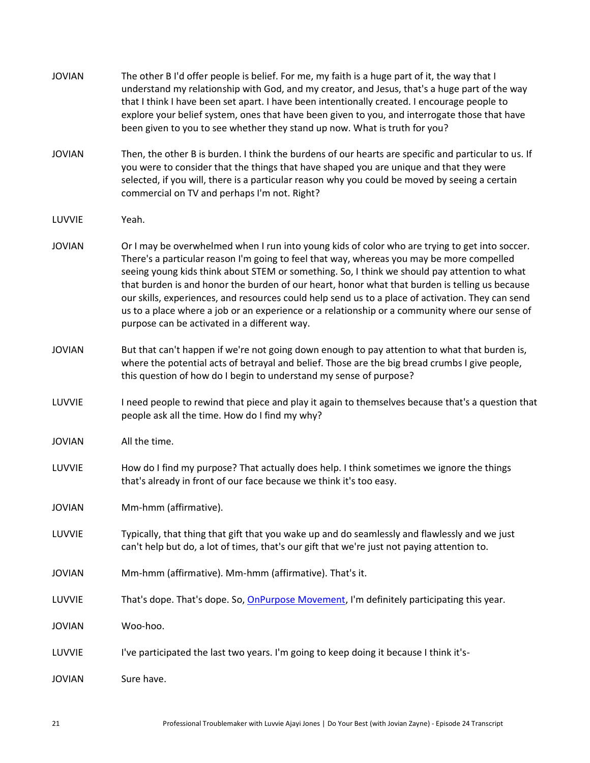| <b>JOVIAN</b> | The other B I'd offer people is belief. For me, my faith is a huge part of it, the way that I<br>understand my relationship with God, and my creator, and Jesus, that's a huge part of the way<br>that I think I have been set apart. I have been intentionally created. I encourage people to<br>explore your belief system, ones that have been given to you, and interrogate those that have<br>been given to you to see whether they stand up now. What is truth for you?                                                                                                                                                                        |
|---------------|------------------------------------------------------------------------------------------------------------------------------------------------------------------------------------------------------------------------------------------------------------------------------------------------------------------------------------------------------------------------------------------------------------------------------------------------------------------------------------------------------------------------------------------------------------------------------------------------------------------------------------------------------|
| <b>JOVIAN</b> | Then, the other B is burden. I think the burdens of our hearts are specific and particular to us. If<br>you were to consider that the things that have shaped you are unique and that they were<br>selected, if you will, there is a particular reason why you could be moved by seeing a certain<br>commercial on TV and perhaps I'm not. Right?                                                                                                                                                                                                                                                                                                    |
| LUVVIE        | Yeah.                                                                                                                                                                                                                                                                                                                                                                                                                                                                                                                                                                                                                                                |
| <b>JOVIAN</b> | Or I may be overwhelmed when I run into young kids of color who are trying to get into soccer.<br>There's a particular reason I'm going to feel that way, whereas you may be more compelled<br>seeing young kids think about STEM or something. So, I think we should pay attention to what<br>that burden is and honor the burden of our heart, honor what that burden is telling us because<br>our skills, experiences, and resources could help send us to a place of activation. They can send<br>us to a place where a job or an experience or a relationship or a community where our sense of<br>purpose can be activated in a different way. |
| <b>JOVIAN</b> | But that can't happen if we're not going down enough to pay attention to what that burden is,<br>where the potential acts of betrayal and belief. Those are the big bread crumbs I give people,<br>this question of how do I begin to understand my sense of purpose?                                                                                                                                                                                                                                                                                                                                                                                |
| LUVVIE        | I need people to rewind that piece and play it again to themselves because that's a question that<br>people ask all the time. How do I find my why?                                                                                                                                                                                                                                                                                                                                                                                                                                                                                                  |
| <b>JOVIAN</b> | All the time.                                                                                                                                                                                                                                                                                                                                                                                                                                                                                                                                                                                                                                        |
| LUVVIE        | How do I find my purpose? That actually does help. I think sometimes we ignore the things<br>that's already in front of our face because we think it's too easy.                                                                                                                                                                                                                                                                                                                                                                                                                                                                                     |
| <b>JOVIAN</b> | Mm-hmm (affirmative).                                                                                                                                                                                                                                                                                                                                                                                                                                                                                                                                                                                                                                |
| LUVVIE        | Typically, that thing that gift that you wake up and do seamlessly and flawlessly and we just<br>can't help but do, a lot of times, that's our gift that we're just not paying attention to.                                                                                                                                                                                                                                                                                                                                                                                                                                                         |
| <b>JOVIAN</b> | Mm-hmm (affirmative). Mm-hmm (affirmative). That's it.                                                                                                                                                                                                                                                                                                                                                                                                                                                                                                                                                                                               |
| LUVVIE        | That's dope. That's dope. So, OnPurpose Movement, I'm definitely participating this year.                                                                                                                                                                                                                                                                                                                                                                                                                                                                                                                                                            |
| <b>JOVIAN</b> | Woo-hoo.                                                                                                                                                                                                                                                                                                                                                                                                                                                                                                                                                                                                                                             |
| LUVVIE        | I've participated the last two years. I'm going to keep doing it because I think it's-                                                                                                                                                                                                                                                                                                                                                                                                                                                                                                                                                               |
| <b>JOVIAN</b> | Sure have.                                                                                                                                                                                                                                                                                                                                                                                                                                                                                                                                                                                                                                           |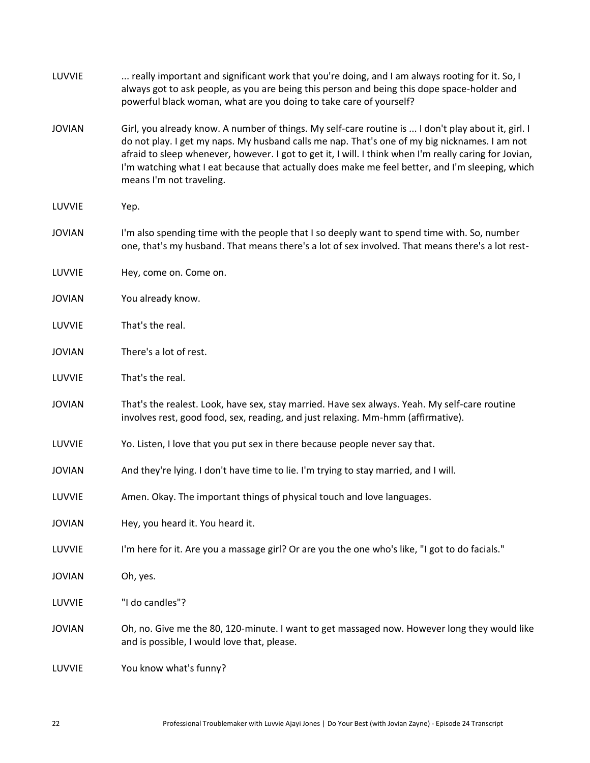| LUVVIE        | really important and significant work that you're doing, and I am always rooting for it. So, I<br>always got to ask people, as you are being this person and being this dope space-holder and<br>powerful black woman, what are you doing to take care of yourself?                                                                                                                                                                           |
|---------------|-----------------------------------------------------------------------------------------------------------------------------------------------------------------------------------------------------------------------------------------------------------------------------------------------------------------------------------------------------------------------------------------------------------------------------------------------|
| <b>JOVIAN</b> | Girl, you already know. A number of things. My self-care routine is  I don't play about it, girl. I<br>do not play. I get my naps. My husband calls me nap. That's one of my big nicknames. I am not<br>afraid to sleep whenever, however. I got to get it, I will. I think when I'm really caring for Jovian,<br>I'm watching what I eat because that actually does make me feel better, and I'm sleeping, which<br>means I'm not traveling. |
| LUVVIE        | Yep.                                                                                                                                                                                                                                                                                                                                                                                                                                          |
| <b>JOVIAN</b> | I'm also spending time with the people that I so deeply want to spend time with. So, number<br>one, that's my husband. That means there's a lot of sex involved. That means there's a lot rest-                                                                                                                                                                                                                                               |
| LUVVIE        | Hey, come on. Come on.                                                                                                                                                                                                                                                                                                                                                                                                                        |
| <b>JOVIAN</b> | You already know.                                                                                                                                                                                                                                                                                                                                                                                                                             |
| LUVVIE        | That's the real.                                                                                                                                                                                                                                                                                                                                                                                                                              |
| <b>JOVIAN</b> | There's a lot of rest.                                                                                                                                                                                                                                                                                                                                                                                                                        |
| LUVVIE        | That's the real.                                                                                                                                                                                                                                                                                                                                                                                                                              |
| <b>JOVIAN</b> | That's the realest. Look, have sex, stay married. Have sex always. Yeah. My self-care routine<br>involves rest, good food, sex, reading, and just relaxing. Mm-hmm (affirmative).                                                                                                                                                                                                                                                             |
| LUVVIE        | Yo. Listen, I love that you put sex in there because people never say that.                                                                                                                                                                                                                                                                                                                                                                   |
| <b>JOVIAN</b> | And they're lying. I don't have time to lie. I'm trying to stay married, and I will.                                                                                                                                                                                                                                                                                                                                                          |
| LUVVIE        | Amen. Okay. The important things of physical touch and love languages.                                                                                                                                                                                                                                                                                                                                                                        |
| <b>JOVIAN</b> | Hey, you heard it. You heard it.                                                                                                                                                                                                                                                                                                                                                                                                              |
| LUVVIE        | I'm here for it. Are you a massage girl? Or are you the one who's like, "I got to do facials."                                                                                                                                                                                                                                                                                                                                                |
| <b>JOVIAN</b> | Oh, yes.                                                                                                                                                                                                                                                                                                                                                                                                                                      |
| LUVVIE        | "I do candles"?                                                                                                                                                                                                                                                                                                                                                                                                                               |
| <b>JOVIAN</b> | Oh, no. Give me the 80, 120-minute. I want to get massaged now. However long they would like<br>and is possible, I would love that, please.                                                                                                                                                                                                                                                                                                   |
| LUVVIE        | You know what's funny?                                                                                                                                                                                                                                                                                                                                                                                                                        |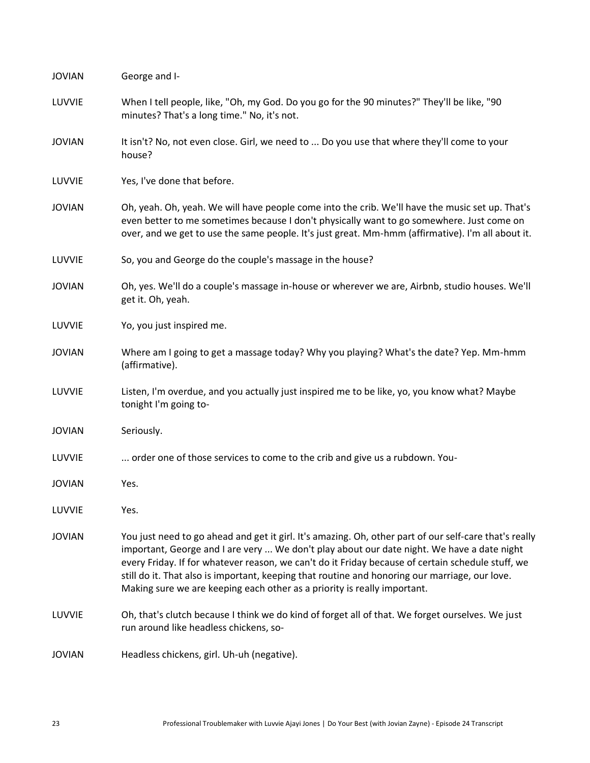| <b>JOVIAN</b> | George and I-                                                                                                                                                                                                                                                                                                                                                                                                                                                                           |
|---------------|-----------------------------------------------------------------------------------------------------------------------------------------------------------------------------------------------------------------------------------------------------------------------------------------------------------------------------------------------------------------------------------------------------------------------------------------------------------------------------------------|
| LUVVIE        | When I tell people, like, "Oh, my God. Do you go for the 90 minutes?" They'll be like, "90<br>minutes? That's a long time." No, it's not.                                                                                                                                                                                                                                                                                                                                               |
| <b>JOVIAN</b> | It isn't? No, not even close. Girl, we need to  Do you use that where they'll come to your<br>house?                                                                                                                                                                                                                                                                                                                                                                                    |
| LUVVIE        | Yes, I've done that before.                                                                                                                                                                                                                                                                                                                                                                                                                                                             |
| <b>JOVIAN</b> | Oh, yeah. Oh, yeah. We will have people come into the crib. We'll have the music set up. That's<br>even better to me sometimes because I don't physically want to go somewhere. Just come on<br>over, and we get to use the same people. It's just great. Mm-hmm (affirmative). I'm all about it.                                                                                                                                                                                       |
| LUVVIE        | So, you and George do the couple's massage in the house?                                                                                                                                                                                                                                                                                                                                                                                                                                |
| <b>JOVIAN</b> | Oh, yes. We'll do a couple's massage in-house or wherever we are, Airbnb, studio houses. We'll<br>get it. Oh, yeah.                                                                                                                                                                                                                                                                                                                                                                     |
| LUVVIE        | Yo, you just inspired me.                                                                                                                                                                                                                                                                                                                                                                                                                                                               |
| <b>JOVIAN</b> | Where am I going to get a massage today? Why you playing? What's the date? Yep. Mm-hmm<br>(affirmative).                                                                                                                                                                                                                                                                                                                                                                                |
| LUVVIE        | Listen, I'm overdue, and you actually just inspired me to be like, yo, you know what? Maybe<br>tonight I'm going to-                                                                                                                                                                                                                                                                                                                                                                    |
| <b>JOVIAN</b> | Seriously.                                                                                                                                                                                                                                                                                                                                                                                                                                                                              |
| LUVVIE        | order one of those services to come to the crib and give us a rubdown. You-                                                                                                                                                                                                                                                                                                                                                                                                             |
| <b>JOVIAN</b> | Yes.                                                                                                                                                                                                                                                                                                                                                                                                                                                                                    |
| LUVVIE        | Yes.                                                                                                                                                                                                                                                                                                                                                                                                                                                                                    |
| <b>JOVIAN</b> | You just need to go ahead and get it girl. It's amazing. Oh, other part of our self-care that's really<br>important, George and I are very  We don't play about our date night. We have a date night<br>every Friday. If for whatever reason, we can't do it Friday because of certain schedule stuff, we<br>still do it. That also is important, keeping that routine and honoring our marriage, our love.<br>Making sure we are keeping each other as a priority is really important. |
| LUVVIE        | Oh, that's clutch because I think we do kind of forget all of that. We forget ourselves. We just<br>run around like headless chickens, so-                                                                                                                                                                                                                                                                                                                                              |
| <b>JOVIAN</b> | Headless chickens, girl. Uh-uh (negative).                                                                                                                                                                                                                                                                                                                                                                                                                                              |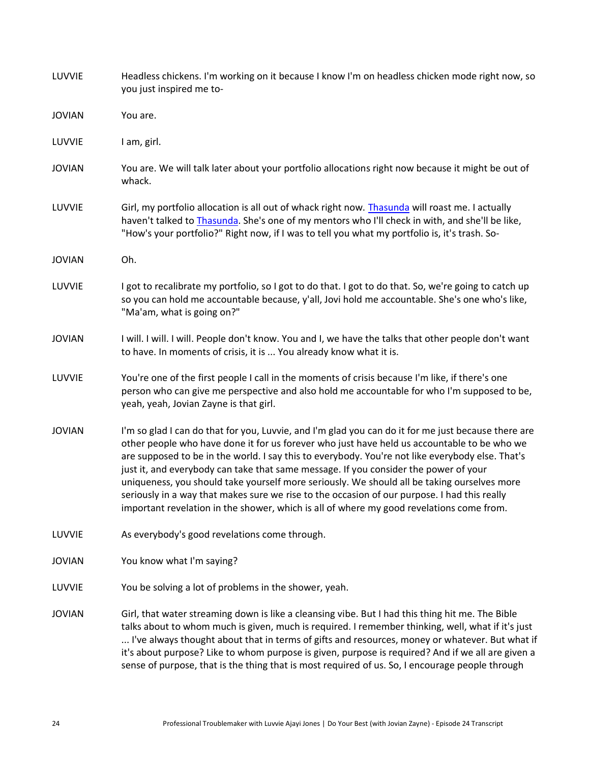| LUVVIE        | Headless chickens. I'm working on it because I know I'm on headless chicken mode right now, so<br>you just inspired me to-                                                                                                                                                                                                                                                                                                                                                                                                                                                                                                                                                                |
|---------------|-------------------------------------------------------------------------------------------------------------------------------------------------------------------------------------------------------------------------------------------------------------------------------------------------------------------------------------------------------------------------------------------------------------------------------------------------------------------------------------------------------------------------------------------------------------------------------------------------------------------------------------------------------------------------------------------|
| <b>JOVIAN</b> | You are.                                                                                                                                                                                                                                                                                                                                                                                                                                                                                                                                                                                                                                                                                  |
| LUVVIE        | I am, girl.                                                                                                                                                                                                                                                                                                                                                                                                                                                                                                                                                                                                                                                                               |
| <b>JOVIAN</b> | You are. We will talk later about your portfolio allocations right now because it might be out of<br>whack.                                                                                                                                                                                                                                                                                                                                                                                                                                                                                                                                                                               |
| LUVVIE        | Girl, my portfolio allocation is all out of whack right now. Thasunda will roast me. I actually<br>haven't talked to Thasunda. She's one of my mentors who I'll check in with, and she'll be like,<br>"How's your portfolio?" Right now, if I was to tell you what my portfolio is, it's trash. So-                                                                                                                                                                                                                                                                                                                                                                                       |
| <b>JOVIAN</b> | Oh.                                                                                                                                                                                                                                                                                                                                                                                                                                                                                                                                                                                                                                                                                       |
| LUVVIE        | I got to recalibrate my portfolio, so I got to do that. I got to do that. So, we're going to catch up<br>so you can hold me accountable because, y'all, Jovi hold me accountable. She's one who's like,<br>"Ma'am, what is going on?"                                                                                                                                                                                                                                                                                                                                                                                                                                                     |
| <b>JOVIAN</b> | I will. I will. I will. People don't know. You and I, we have the talks that other people don't want<br>to have. In moments of crisis, it is  You already know what it is.                                                                                                                                                                                                                                                                                                                                                                                                                                                                                                                |
| LUVVIE        | You're one of the first people I call in the moments of crisis because I'm like, if there's one<br>person who can give me perspective and also hold me accountable for who I'm supposed to be,<br>yeah, yeah, Jovian Zayne is that girl.                                                                                                                                                                                                                                                                                                                                                                                                                                                  |
| <b>JOVIAN</b> | I'm so glad I can do that for you, Luvvie, and I'm glad you can do it for me just because there are<br>other people who have done it for us forever who just have held us accountable to be who we<br>are supposed to be in the world. I say this to everybody. You're not like everybody else. That's<br>just it, and everybody can take that same message. If you consider the power of your<br>uniqueness, you should take yourself more seriously. We should all be taking ourselves more<br>seriously in a way that makes sure we rise to the occasion of our purpose. I had this really<br>important revelation in the shower, which is all of where my good revelations come from. |
| LUVVIE        | As everybody's good revelations come through.                                                                                                                                                                                                                                                                                                                                                                                                                                                                                                                                                                                                                                             |
| <b>JOVIAN</b> | You know what I'm saying?                                                                                                                                                                                                                                                                                                                                                                                                                                                                                                                                                                                                                                                                 |
| LUVVIE        | You be solving a lot of problems in the shower, yeah.                                                                                                                                                                                                                                                                                                                                                                                                                                                                                                                                                                                                                                     |
| <b>JOVIAN</b> | Girl, that water streaming down is like a cleansing vibe. But I had this thing hit me. The Bible<br>talks about to whom much is given, much is required. I remember thinking, well, what if it's just<br>I've always thought about that in terms of gifts and resources, money or whatever. But what if<br>it's about purpose? Like to whom purpose is given, purpose is required? And if we all are given a<br>sense of purpose, that is the thing that is most required of us. So, I encourage people through                                                                                                                                                                           |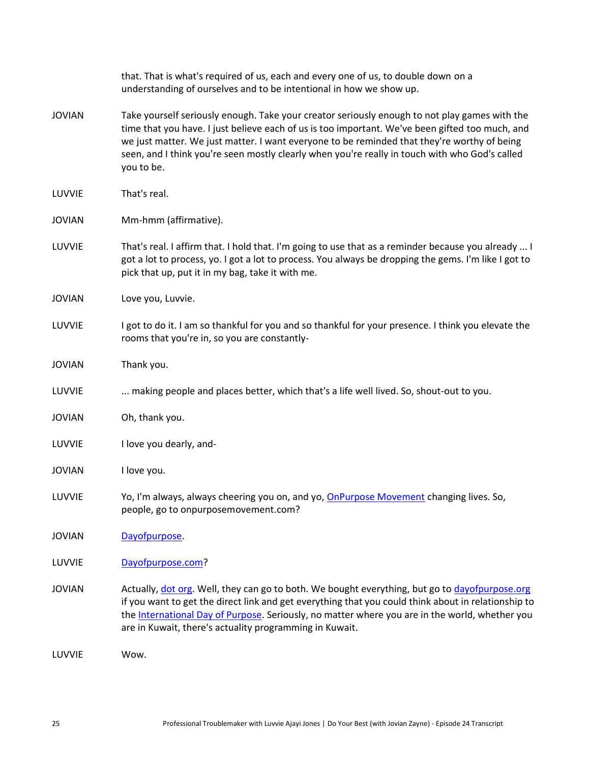|               | that. That is what's required of us, each and every one of us, to double down on a<br>understanding of ourselves and to be intentional in how we show up.                                                                                                                                                                                                                                                       |
|---------------|-----------------------------------------------------------------------------------------------------------------------------------------------------------------------------------------------------------------------------------------------------------------------------------------------------------------------------------------------------------------------------------------------------------------|
| <b>JOVIAN</b> | Take yourself seriously enough. Take your creator seriously enough to not play games with the<br>time that you have. I just believe each of us is too important. We've been gifted too much, and<br>we just matter. We just matter. I want everyone to be reminded that they're worthy of being<br>seen, and I think you're seen mostly clearly when you're really in touch with who God's called<br>you to be. |
| LUVVIE        | That's real.                                                                                                                                                                                                                                                                                                                                                                                                    |
| <b>JOVIAN</b> | Mm-hmm (affirmative).                                                                                                                                                                                                                                                                                                                                                                                           |
| LUVVIE        | That's real. I affirm that. I hold that. I'm going to use that as a reminder because you already  I<br>got a lot to process, yo. I got a lot to process. You always be dropping the gems. I'm like I got to<br>pick that up, put it in my bag, take it with me.                                                                                                                                                 |
| <b>JOVIAN</b> | Love you, Luvvie.                                                                                                                                                                                                                                                                                                                                                                                               |
| LUVVIE        | I got to do it. I am so thankful for you and so thankful for your presence. I think you elevate the<br>rooms that you're in, so you are constantly-                                                                                                                                                                                                                                                             |
| <b>JOVIAN</b> | Thank you.                                                                                                                                                                                                                                                                                                                                                                                                      |
| LUVVIE        | making people and places better, which that's a life well lived. So, shout-out to you.                                                                                                                                                                                                                                                                                                                          |
| <b>JOVIAN</b> | Oh, thank you.                                                                                                                                                                                                                                                                                                                                                                                                  |
| LUVVIE        | I love you dearly, and-                                                                                                                                                                                                                                                                                                                                                                                         |
| <b>JOVIAN</b> | I love you.                                                                                                                                                                                                                                                                                                                                                                                                     |
| LUVVIE        | Yo, I'm always, always cheering you on, and yo, <b>OnPurpose Movement changing lives</b> . So,<br>people, go to onpurposemovement.com?                                                                                                                                                                                                                                                                          |
| <b>JOVIAN</b> | Dayofpurpose.                                                                                                                                                                                                                                                                                                                                                                                                   |
| LUVVIE        | Dayofpurpose.com?                                                                                                                                                                                                                                                                                                                                                                                               |
| <b>JOVIAN</b> | Actually, dot org. Well, they can go to both. We bought everything, but go to dayofpurpose.org<br>if you want to get the direct link and get everything that you could think about in relationship to<br>the International Day of Purpose. Seriously, no matter where you are in the world, whether you<br>are in Kuwait, there's actuality programming in Kuwait.                                              |
| LUVVIE        | Wow.                                                                                                                                                                                                                                                                                                                                                                                                            |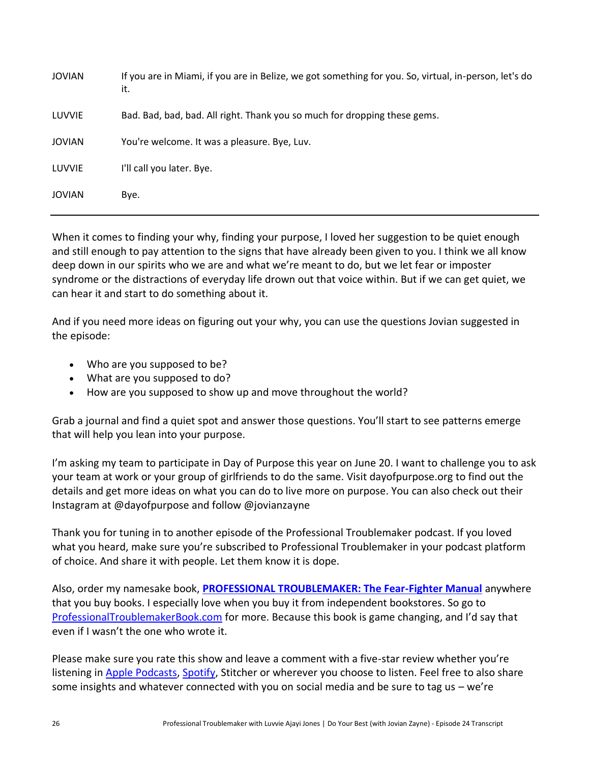| <b>JOVIAN</b> | If you are in Miami, if you are in Belize, we got something for you. So, virtual, in-person, let's do<br>it. |
|---------------|--------------------------------------------------------------------------------------------------------------|
| LUVVIE        | Bad. Bad, bad, bad. All right. Thank you so much for dropping these gems.                                    |
| <b>JOVIAN</b> | You're welcome. It was a pleasure. Bye, Luv.                                                                 |
| LUVVIE        | I'll call you later. Bye.                                                                                    |
| <b>JOVIAN</b> | Bye.                                                                                                         |

When it comes to finding your why, finding your purpose, I loved her suggestion to be quiet enough and still enough to pay attention to the signs that have already been given to you. I think we all know deep down in our spirits who we are and what we're meant to do, but we let fear or imposter syndrome or the distractions of everyday life drown out that voice within. But if we can get quiet, we can hear it and start to do something about it.

And if you need more ideas on figuring out your why, you can use the questions Jovian suggested in the episode:

- Who are you supposed to be?
- What are you supposed to do?
- How are you supposed to show up and move throughout the world?

Grab a journal and find a quiet spot and answer those questions. You'll start to see patterns emerge that will help you lean into your purpose.

I'm asking my team to participate in Day of Purpose this year on June 20. I want to challenge you to ask your team at work or your group of girlfriends to do the same. Visit dayofpurpose.org to find out the details and get more ideas on what you can do to live more on purpose. You can also check out their Instagram at @dayofpurpose and follow @jovianzayne

Thank you for tuning in to another episode of the Professional Troublemaker podcast. If you loved what you heard, make sure you're subscribed to Professional Troublemaker in your podcast platform of choice. And share it with people. Let them know it is dope.

Also, order my namesake book, **[PROFESSIONAL TROUBLEMAKER: The Fear-Fighter Manual](http://professionaltroublemakerbook.com/)** anywhere that you buy books. I especially love when you buy it from independent bookstores. So go to [ProfessionalTroublemakerBook.com](http://professionaltroublemakerbook.com/) for more. Because this book is game changing, and I'd say that even if I wasn't the one who wrote it.

Please make sure you rate this show and leave a comment with a five-star review whether you're listening i[n Apple Podcasts,](http://apple.co/luvvie) [Spotify,](https://open.spotify.com/show/2hL4Zd5E3WZIFKzXSADqBB?si=FfMJUhpmQ-aDIrS_sU_g1Q) Stitcher or wherever you choose to listen. Feel free to also share some insights and whatever connected with you on social media and be sure to tag us  $-$  we're